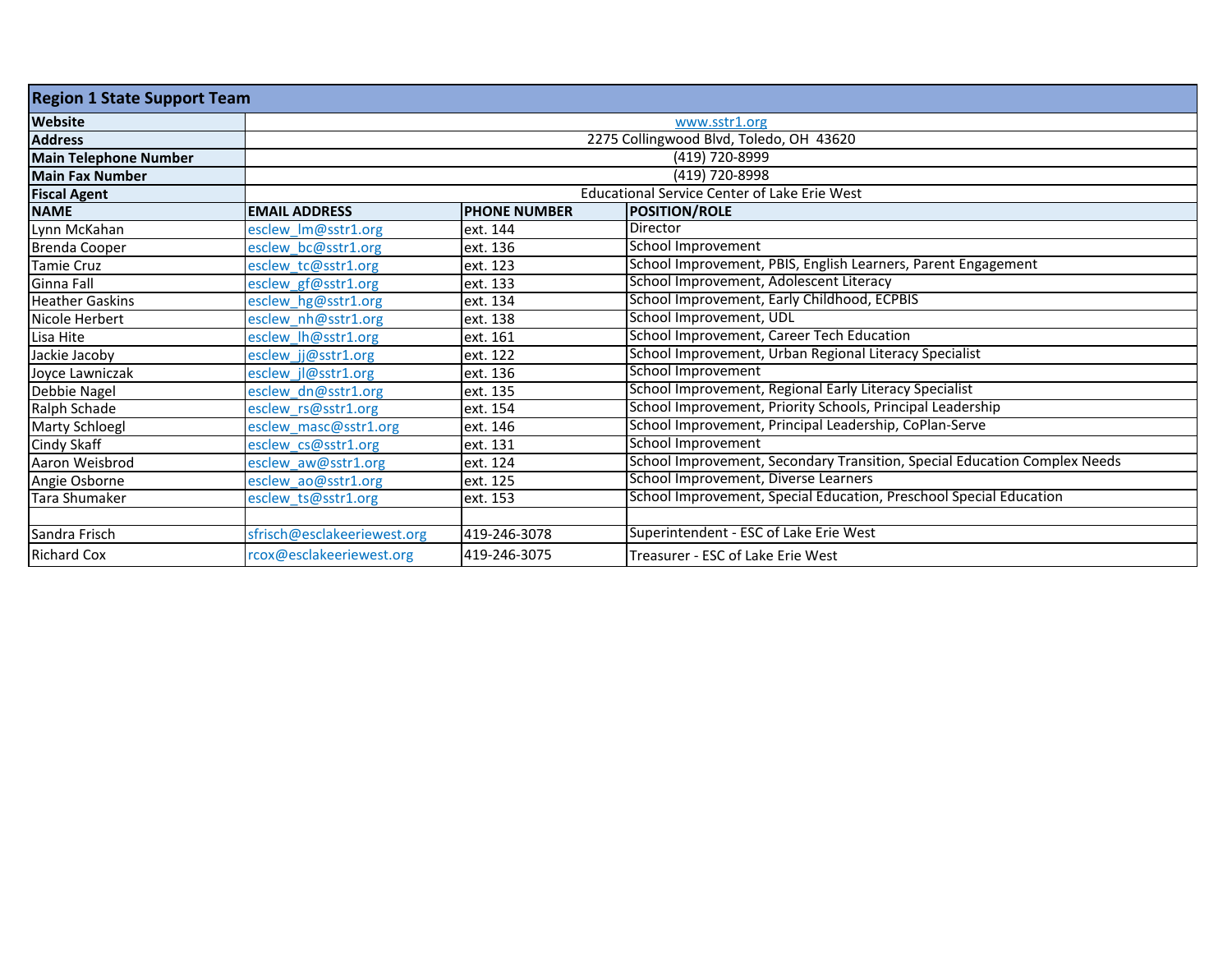| <b>Region 1 State Support Team</b> |                             |                     |                                                                           |  |  |
|------------------------------------|-----------------------------|---------------------|---------------------------------------------------------------------------|--|--|
| <b>Website</b>                     |                             | www.sstr1.org       |                                                                           |  |  |
| <b>Address</b>                     |                             |                     | 2275 Collingwood Blvd, Toledo, OH 43620                                   |  |  |
| <b>Main Telephone Number</b>       |                             |                     | (419) 720-8999                                                            |  |  |
| Main Fax Number                    |                             |                     | (419) 720-8998                                                            |  |  |
| <b>Fiscal Agent</b>                |                             |                     | <b>Educational Service Center of Lake Erie West</b>                       |  |  |
| <b>NAME</b>                        | <b>EMAIL ADDRESS</b>        | <b>PHONE NUMBER</b> | <b>POSITION/ROLE</b>                                                      |  |  |
| Lynn McKahan                       | esclew Im@sstr1.org         | ext. 144            | <b>Director</b>                                                           |  |  |
| <b>Brenda Cooper</b>               | esclew bc@sstr1.org         | ext. 136            | School Improvement                                                        |  |  |
| <b>Tamie Cruz</b>                  | esclew tc@sstr1.org         | ext. 123            | School Improvement, PBIS, English Learners, Parent Engagement             |  |  |
| Ginna Fall                         | esclew gf@sstr1.org         | ext. 133            | School Improvement, Adolescent Literacy                                   |  |  |
| <b>Heather Gaskins</b>             | esclew hg@sstr1.org         | ext. 134            | School Improvement, Early Childhood, ECPBIS                               |  |  |
| Nicole Herbert                     | esclew nh@sstr1.org         | ext. 138            | School Improvement, UDL                                                   |  |  |
| Lisa Hite                          | esclew_lh@sstr1.org         | ext. 161            | School Improvement, Career Tech Education                                 |  |  |
| Jackie Jacoby                      | esclew jj@sstr1.org         | ext. 122            | School Improvement, Urban Regional Literacy Specialist                    |  |  |
| Joyce Lawniczak                    | esclew jl@sstr1.org         | ext. 136            | School Improvement                                                        |  |  |
| Debbie Nagel                       | esclew dn@sstr1.org         | ext. 135            | School Improvement, Regional Early Literacy Specialist                    |  |  |
| Ralph Schade                       | esclew_rs@sstr1.org         | ext. 154            | School Improvement, Priority Schools, Principal Leadership                |  |  |
| <b>Marty Schloegl</b>              | esclew_masc@sstr1.org       | ext. 146            | School Improvement, Principal Leadership, CoPlan-Serve                    |  |  |
| Cindy Skaff                        | esclew_cs@sstr1.org         | ext. 131            | School Improvement                                                        |  |  |
| Aaron Weisbrod                     | esclew_aw@sstr1.org         | ext. 124            | School Improvement, Secondary Transition, Special Education Complex Needs |  |  |
| Angie Osborne                      | esclew ao@sstr1.org         | ext. 125            | School Improvement, Diverse Learners                                      |  |  |
| <b>Tara Shumaker</b>               | esclew_ts@sstr1.org         | ext. 153            | School Improvement, Special Education, Preschool Special Education        |  |  |
|                                    |                             |                     |                                                                           |  |  |
| Sandra Frisch                      | sfrisch@esclakeeriewest.org | 419-246-3078        | Superintendent - ESC of Lake Erie West                                    |  |  |
| <b>Richard Cox</b>                 | rcox@esclakeeriewest.org    | 419-246-3075        | Treasurer - ESC of Lake Erie West                                         |  |  |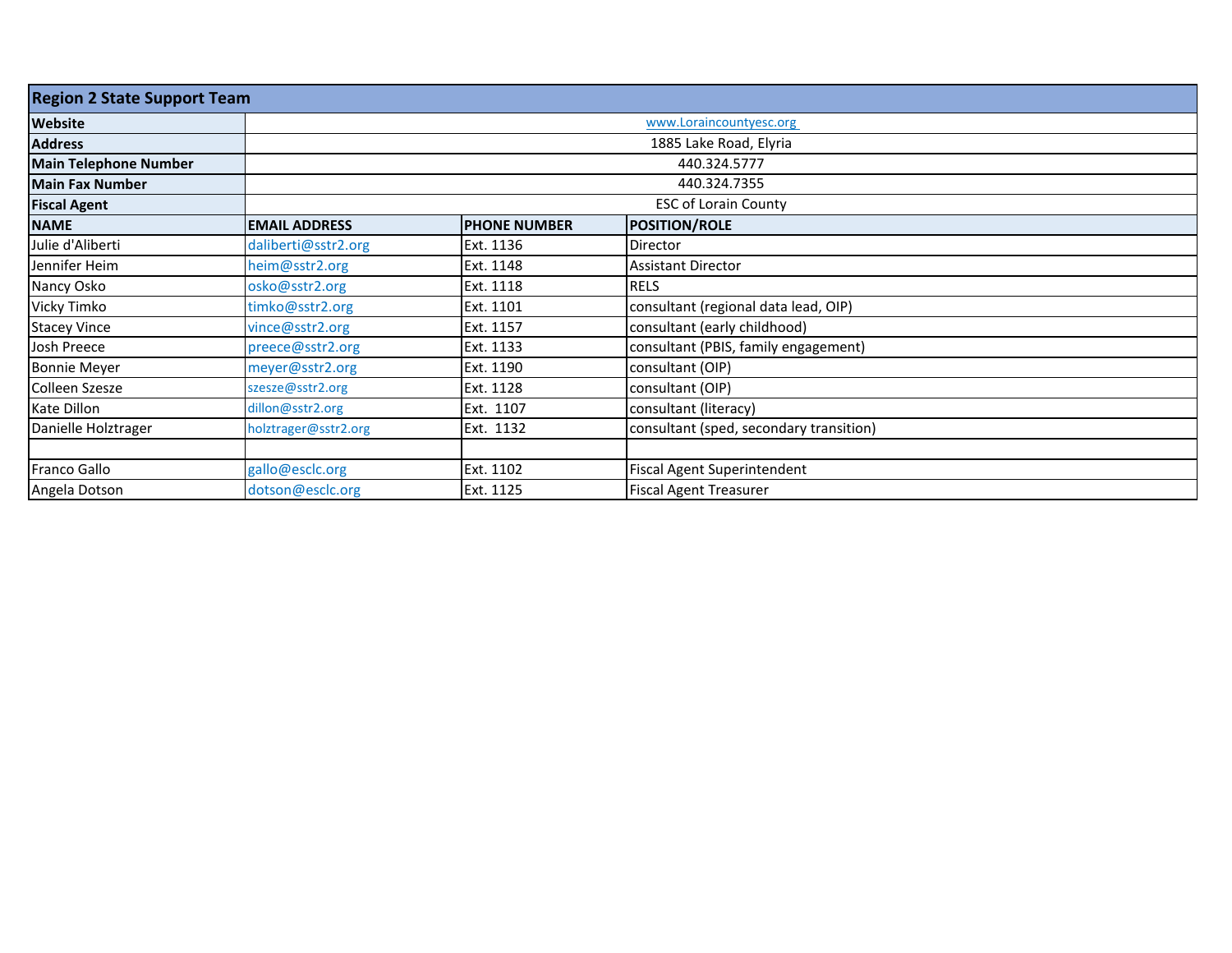| <b>Region 2 State Support Team</b> |                      |                         |                                         |  |  |
|------------------------------------|----------------------|-------------------------|-----------------------------------------|--|--|
| <b>Website</b>                     |                      | www.Loraincountyesc.org |                                         |  |  |
| <b>Address</b>                     |                      |                         | 1885 Lake Road, Elyria                  |  |  |
| <b>Main Telephone Number</b>       |                      |                         | 440.324.5777                            |  |  |
| Main Fax Number                    |                      |                         | 440.324.7355                            |  |  |
| <b>Fiscal Agent</b>                |                      |                         | <b>ESC of Lorain County</b>             |  |  |
| <b>NAME</b>                        | <b>EMAIL ADDRESS</b> | <b>PHONE NUMBER</b>     | <b>POSITION/ROLE</b>                    |  |  |
| Julie d'Aliberti                   | daliberti@sstr2.org  | Ext. 1136               | Director                                |  |  |
| Jennifer Heim                      | heim@sstr2.org       | Ext. 1148               | <b>Assistant Director</b>               |  |  |
| Nancy Osko                         | osko@sstr2.org       | Ext. 1118               | <b>RELS</b>                             |  |  |
| Vicky Timko                        | timko@sstr2.org      | Ext. 1101               | consultant (regional data lead, OIP)    |  |  |
| <b>Stacey Vince</b>                | vince@sstr2.org      | Ext. 1157               | consultant (early childhood)            |  |  |
| Josh Preece                        | preece@sstr2.org     | Ext. 1133               | consultant (PBIS, family engagement)    |  |  |
| <b>Bonnie Meyer</b>                | meyer@sstr2.org      | Ext. 1190               | consultant (OIP)                        |  |  |
| Colleen Szesze                     | szesze@sstr2.org     | Ext. 1128               | consultant (OIP)                        |  |  |
| Kate Dillon                        | dillon@sstr2.org     | Ext. 1107               | consultant (literacy)                   |  |  |
| Danielle Holztrager                | holztrager@sstr2.org | Ext. 1132               | consultant (sped, secondary transition) |  |  |
|                                    |                      |                         |                                         |  |  |
| <b>Franco Gallo</b>                | gallo@esclc.org      | Ext. 1102               | Fiscal Agent Superintendent             |  |  |
| Angela Dotson                      | dotson@esclc.org     | Ext. 1125               | <b>Fiscal Agent Treasurer</b>           |  |  |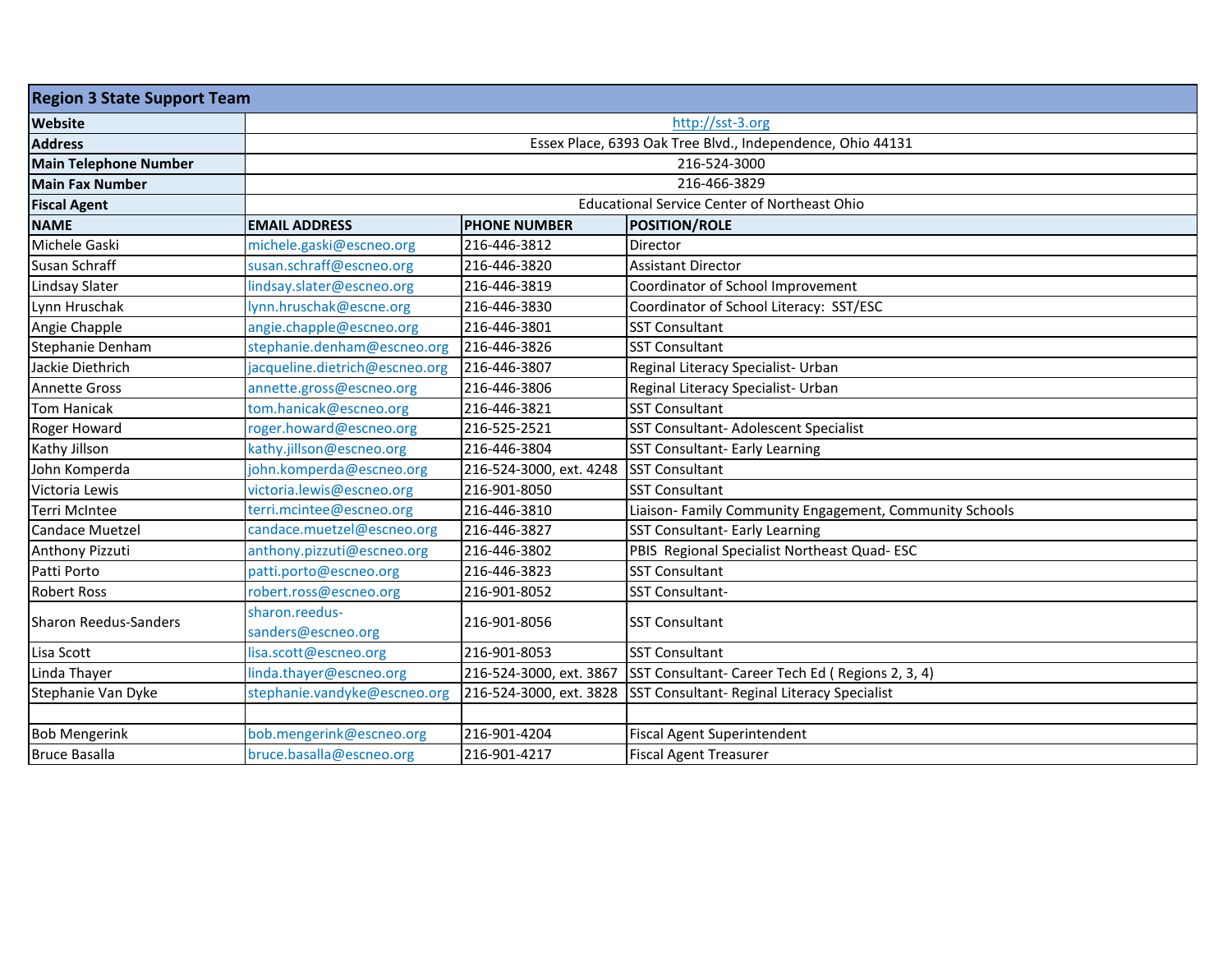| <b>Region 3 State Support Team</b> |                                      |                         |                                                            |  |
|------------------------------------|--------------------------------------|-------------------------|------------------------------------------------------------|--|
| Website                            | http://sst-3.org                     |                         |                                                            |  |
| <b>Address</b>                     |                                      |                         | Essex Place, 6393 Oak Tree Blvd., Independence, Ohio 44131 |  |
| <b>Main Telephone Number</b>       |                                      |                         | 216-524-3000                                               |  |
| <b>Main Fax Number</b>             |                                      |                         | 216-466-3829                                               |  |
| <b>Fiscal Agent</b>                |                                      |                         | <b>Educational Service Center of Northeast Ohio</b>        |  |
| <b>NAME</b>                        | <b>EMAIL ADDRESS</b>                 | <b>PHONE NUMBER</b>     | <b>POSITION/ROLE</b>                                       |  |
| Michele Gaski                      | michele.gaski@escneo.org             | 216-446-3812            | Director                                                   |  |
| Susan Schraff                      | susan.schraff@escneo.org             | 216-446-3820            | <b>Assistant Director</b>                                  |  |
| Lindsay Slater                     | lindsay.slater@escneo.org            | 216-446-3819            | Coordinator of School Improvement                          |  |
| Lynn Hruschak                      | lynn.hruschak@escne.org              | 216-446-3830            | Coordinator of School Literacy: SST/ESC                    |  |
| Angie Chapple                      | angie.chapple@escneo.org             | 216-446-3801            | <b>SST Consultant</b>                                      |  |
| Stephanie Denham                   | stephanie.denham@escneo.org          | 216-446-3826            | <b>SST Consultant</b>                                      |  |
| Jackie Diethrich                   | jacqueline.dietrich@escneo.org       | 216-446-3807            | Reginal Literacy Specialist- Urban                         |  |
| <b>Annette Gross</b>               | annette.gross@escneo.org             | 216-446-3806            | Reginal Literacy Specialist- Urban                         |  |
| <b>Tom Hanicak</b>                 | tom.hanicak@escneo.org               | 216-446-3821            | <b>SST Consultant</b>                                      |  |
| Roger Howard                       | roger.howard@escneo.org              | 216-525-2521            | SST Consultant- Adolescent Specialist                      |  |
| Kathy Jillson                      | kathy.jillson@escneo.org             | 216-446-3804            | SST Consultant- Early Learning                             |  |
| John Komperda                      | john.komperda@escneo.org             | 216-524-3000, ext. 4248 | <b>SST Consultant</b>                                      |  |
| Victoria Lewis                     | victoria.lewis@escneo.org            | 216-901-8050            | <b>SST Consultant</b>                                      |  |
| Terri McIntee                      | terri.mcintee@escneo.org             | 216-446-3810            | Liaison- Family Community Engagement, Community Schools    |  |
| <b>Candace Muetzel</b>             | candace.muetzel@escneo.org           | 216-446-3827            | SST Consultant- Early Learning                             |  |
| Anthony Pizzuti                    | anthony.pizzuti@escneo.org           | 216-446-3802            | PBIS Regional Specialist Northeast Quad-ESC                |  |
| Patti Porto                        | patti.porto@escneo.org               | 216-446-3823            | <b>SST Consultant</b>                                      |  |
| <b>Robert Ross</b>                 | robert.ross@escneo.org               | 216-901-8052            | SST Consultant-                                            |  |
| <b>Sharon Reedus-Sanders</b>       | sharon.reedus-<br>sanders@escneo.org | 216-901-8056            | <b>SST Consultant</b>                                      |  |
| Lisa Scott                         | lisa.scott@escneo.org                | 216-901-8053            | <b>SST Consultant</b>                                      |  |
| Linda Thayer                       | linda.thayer@escneo.org              | 216-524-3000, ext. 3867 | SST Consultant- Career Tech Ed (Regions 2, 3, 4)           |  |
| Stephanie Van Dyke                 | stephanie.vandyke@escneo.org         | 216-524-3000, ext. 3828 | SST Consultant- Reginal Literacy Specialist                |  |
|                                    |                                      |                         |                                                            |  |
| <b>Bob Mengerink</b>               | bob.mengerink@escneo.org             | 216-901-4204            | <b>Fiscal Agent Superintendent</b>                         |  |
| <b>Bruce Basalla</b>               | bruce.basalla@escneo.org             | 216-901-4217            | <b>Fiscal Agent Treasurer</b>                              |  |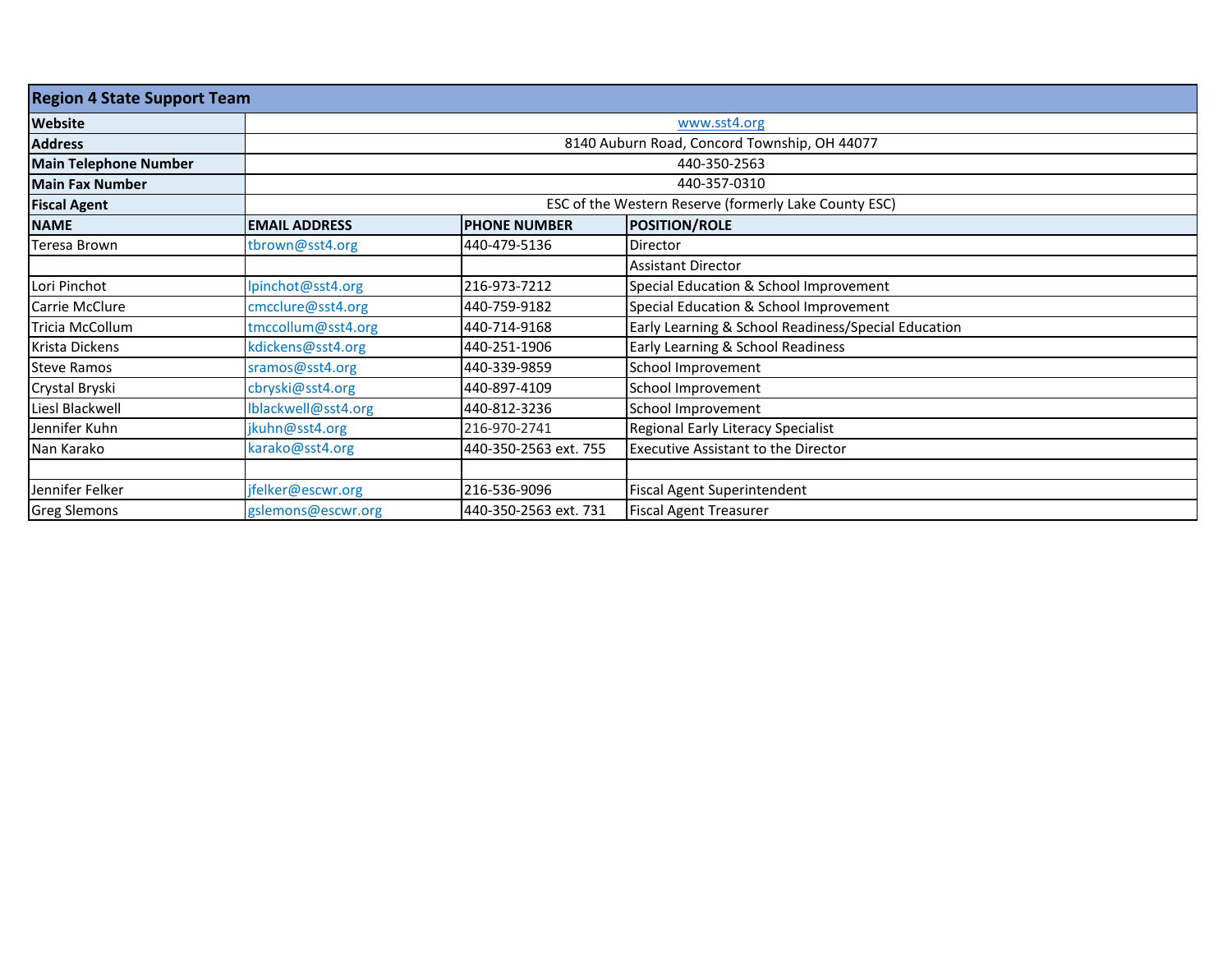| <b>Region 4 State Support Team</b> |                      |                       |                                                       |  |  |
|------------------------------------|----------------------|-----------------------|-------------------------------------------------------|--|--|
| <b>Website</b>                     |                      | www.sst4.org          |                                                       |  |  |
| <b>Address</b>                     |                      |                       | 8140 Auburn Road, Concord Township, OH 44077          |  |  |
| <b>Main Telephone Number</b>       |                      |                       | 440-350-2563                                          |  |  |
| <b>Main Fax Number</b>             |                      |                       | 440-357-0310                                          |  |  |
| <b>Fiscal Agent</b>                |                      |                       | ESC of the Western Reserve (formerly Lake County ESC) |  |  |
| <b>NAME</b>                        | <b>EMAIL ADDRESS</b> | <b>PHONE NUMBER</b>   | <b>POSITION/ROLE</b>                                  |  |  |
| Teresa Brown                       | tbrown@sst4.org      | 440-479-5136          | <b>Director</b>                                       |  |  |
|                                    |                      |                       | <b>Assistant Director</b>                             |  |  |
| Lori Pinchot                       | lpinchot@sst4.org    | 216-973-7212          | Special Education & School Improvement                |  |  |
| Carrie McClure                     | cmcclure@sst4.org    | 440-759-9182          | Special Education & School Improvement                |  |  |
| Tricia McCollum                    | tmccollum@sst4.org   | 440-714-9168          | Early Learning & School Readiness/Special Education   |  |  |
| Krista Dickens                     | kdickens@sst4.org    | 440-251-1906          | Early Learning & School Readiness                     |  |  |
| <b>Steve Ramos</b>                 | sramos@sst4.org      | 440-339-9859          | School Improvement                                    |  |  |
| Crystal Bryski                     | cbryski@sst4.org     | 440-897-4109          | School Improvement                                    |  |  |
| Liesl Blackwell                    | Iblackwell@sst4.org  | 440-812-3236          | School Improvement                                    |  |  |
| Jennifer Kuhn                      | jkuhn@sst4.org       | 216-970-2741          | Regional Early Literacy Specialist                    |  |  |
| Nan Karako                         | karako@sst4.org      | 440-350-2563 ext. 755 | <b>Executive Assistant to the Director</b>            |  |  |
|                                    |                      |                       |                                                       |  |  |
| Jennifer Felker                    | jfelker@escwr.org    | 216-536-9096          | <b>Fiscal Agent Superintendent</b>                    |  |  |
| <b>Greg Slemons</b>                | gslemons@escwr.org   | 440-350-2563 ext. 731 | <b>Fiscal Agent Treasurer</b>                         |  |  |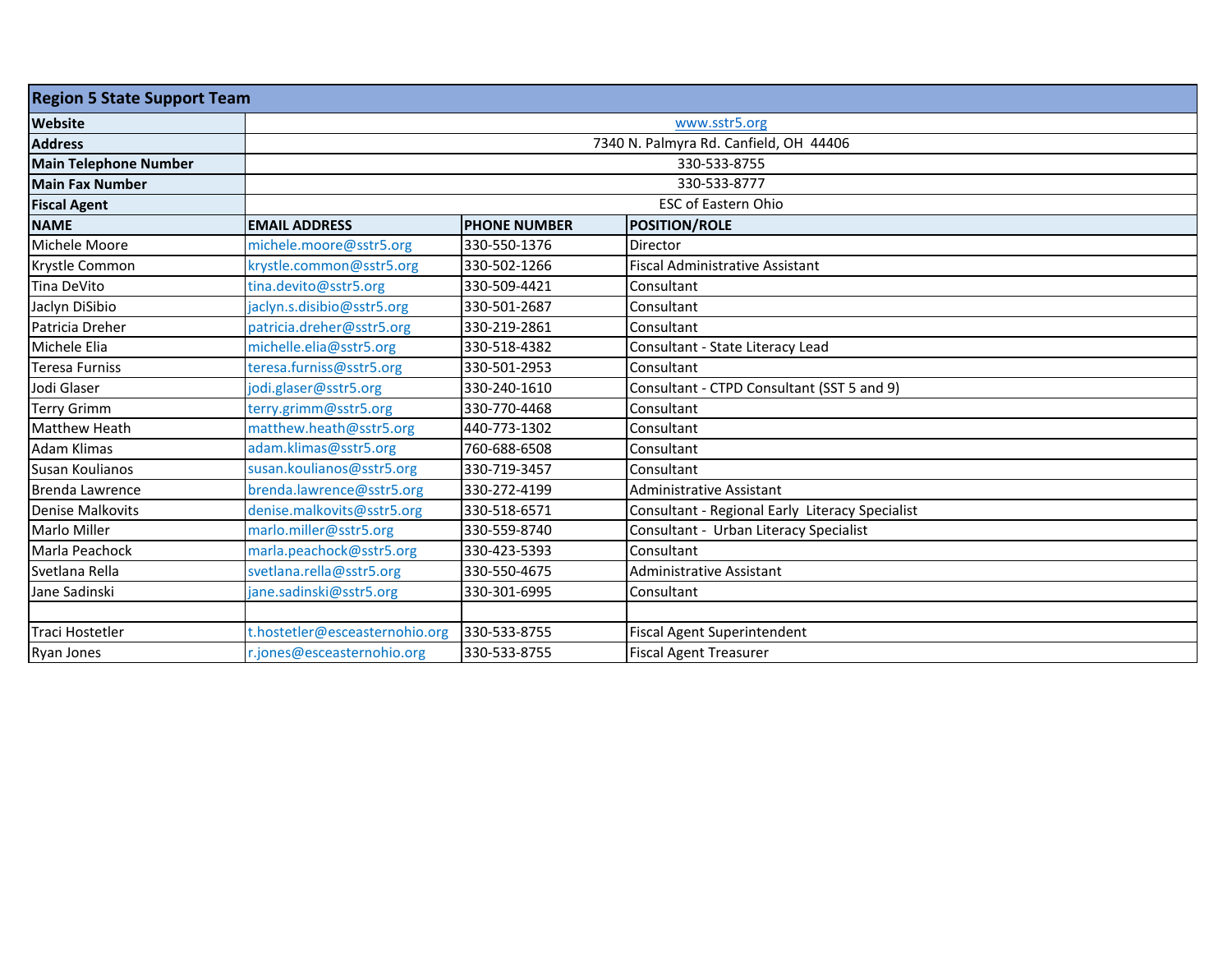| <b>Region 5 State Support Team</b> |                                |                     |                                                 |  |  |
|------------------------------------|--------------------------------|---------------------|-------------------------------------------------|--|--|
| <b>Website</b>                     |                                | www.sstr5.org       |                                                 |  |  |
| <b>Address</b>                     |                                |                     | 7340 N. Palmyra Rd. Canfield, OH 44406          |  |  |
| <b>Main Telephone Number</b>       |                                |                     | 330-533-8755                                    |  |  |
| <b>Main Fax Number</b>             |                                |                     | 330-533-8777                                    |  |  |
| <b>Fiscal Agent</b>                |                                |                     | <b>ESC of Eastern Ohio</b>                      |  |  |
| <b>NAME</b>                        | <b>EMAIL ADDRESS</b>           | <b>PHONE NUMBER</b> | <b>POSITION/ROLE</b>                            |  |  |
| Michele Moore                      | michele.moore@sstr5.org        | 330-550-1376        | Director                                        |  |  |
| Krystle Common                     | krystle.common@sstr5.org       | 330-502-1266        | <b>Fiscal Administrative Assistant</b>          |  |  |
| Tina DeVito                        | tina.devito@sstr5.org          | 330-509-4421        | Consultant                                      |  |  |
| Jaclyn DiSibio                     | jaclyn.s.disibio@sstr5.org     | 330-501-2687        | Consultant                                      |  |  |
| Patricia Dreher                    | patricia.dreher@sstr5.org      | 330-219-2861        | Consultant                                      |  |  |
| Michele Elia                       | michelle.elia@sstr5.org        | 330-518-4382        | Consultant - State Literacy Lead                |  |  |
| <b>Teresa Furniss</b>              | teresa.furniss@sstr5.org       | 330-501-2953        | Consultant                                      |  |  |
| Jodi Glaser                        | jodi.glaser@sstr5.org          | 330-240-1610        | Consultant - CTPD Consultant (SST 5 and 9)      |  |  |
| <b>Terry Grimm</b>                 | terry.grimm@sstr5.org          | 330-770-4468        | Consultant                                      |  |  |
| <b>Matthew Heath</b>               | matthew.heath@sstr5.org        | 440-773-1302        | Consultant                                      |  |  |
| <b>Adam Klimas</b>                 | adam.klimas@sstr5.org          | 760-688-6508        | Consultant                                      |  |  |
| Susan Koulianos                    | susan.koulianos@sstr5.org      | 330-719-3457        | Consultant                                      |  |  |
| Brenda Lawrence                    | brenda.lawrence@sstr5.org      | 330-272-4199        | <b>Administrative Assistant</b>                 |  |  |
| <b>Denise Malkovits</b>            | denise.malkovits@sstr5.org     | 330-518-6571        | Consultant - Regional Early Literacy Specialist |  |  |
| <b>Marlo Miller</b>                | marlo.miller@sstr5.org         | 330-559-8740        | Consultant - Urban Literacy Specialist          |  |  |
| Marla Peachock                     | marla.peachock@sstr5.org       | 330-423-5393        | Consultant                                      |  |  |
| Svetlana Rella                     | svetlana.rella@sstr5.org       | 330-550-4675        | <b>Administrative Assistant</b>                 |  |  |
| Jane Sadinski                      | jane.sadinski@sstr5.org        | 330-301-6995        | Consultant                                      |  |  |
|                                    |                                |                     |                                                 |  |  |
| <b>Traci Hostetler</b>             | t.hostetler@esceasternohio.org | 330-533-8755        | <b>Fiscal Agent Superintendent</b>              |  |  |
| Ryan Jones                         | r.jones@esceasternohio.org     | 330-533-8755        | <b>Fiscal Agent Treasurer</b>                   |  |  |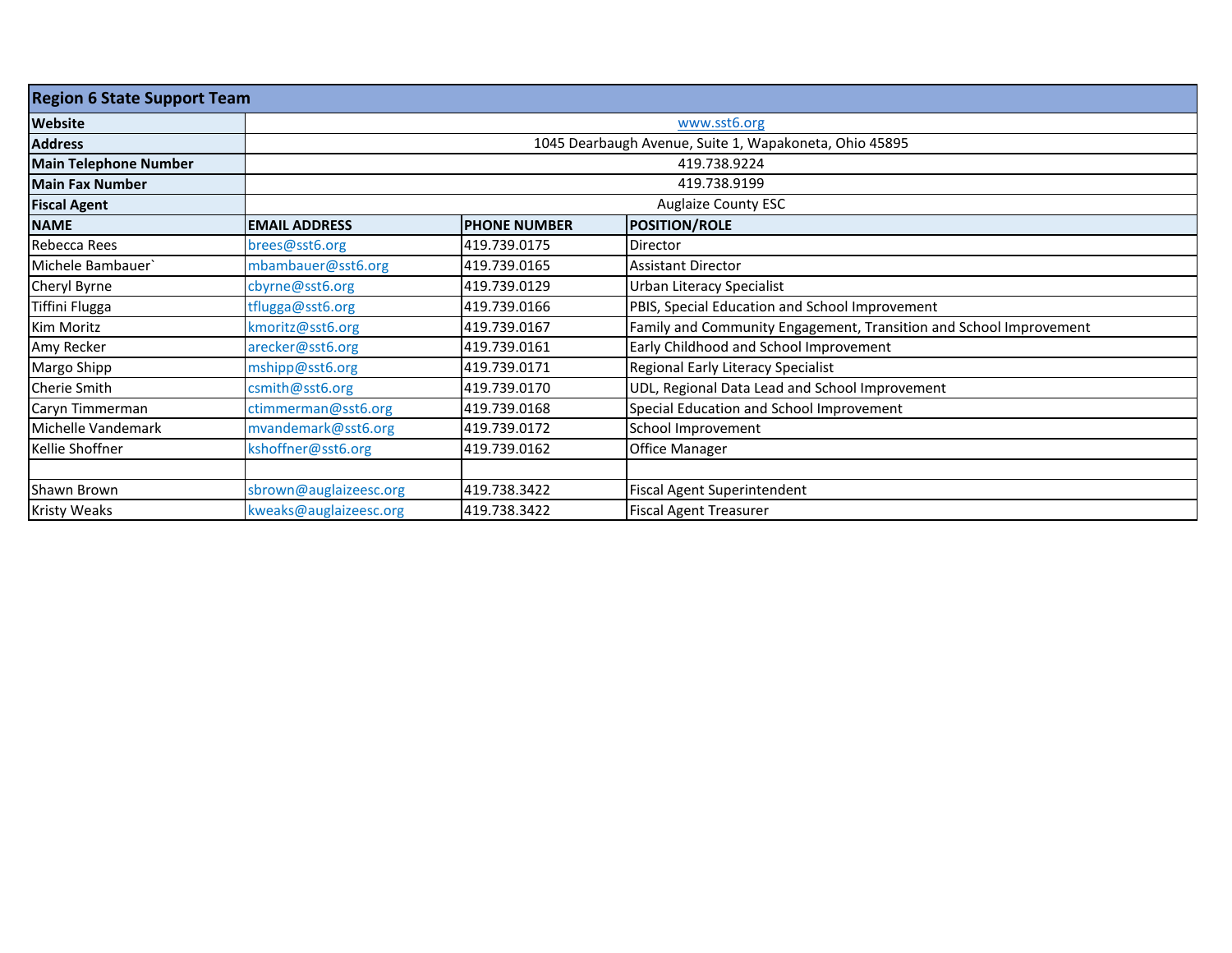| <b>Region 6 State Support Team</b> |                        |                     |                                                                    |
|------------------------------------|------------------------|---------------------|--------------------------------------------------------------------|
| Website                            | www.sst6.org           |                     |                                                                    |
| <b>Address</b>                     |                        |                     | 1045 Dearbaugh Avenue, Suite 1, Wapakoneta, Ohio 45895             |
| <b>Main Telephone Number</b>       |                        |                     | 419.738.9224                                                       |
| <b>Main Fax Number</b>             |                        |                     | 419.738.9199                                                       |
| <b>Fiscal Agent</b>                |                        |                     | <b>Auglaize County ESC</b>                                         |
| <b>NAME</b>                        | <b>EMAIL ADDRESS</b>   | <b>PHONE NUMBER</b> | <b>POSITION/ROLE</b>                                               |
| Rebecca Rees                       | brees@sst6.org         | 419.739.0175        | Director                                                           |
| Michele Bambauer`                  | mbambauer@sst6.org     | 419.739.0165        | <b>Assistant Director</b>                                          |
| Cheryl Byrne                       | cbyrne@sst6.org        | 419.739.0129        | Urban Literacy Specialist                                          |
| Tiffini Flugga                     | tflugga@sst6.org       | 419.739.0166        | PBIS, Special Education and School Improvement                     |
| Kim Moritz                         | kmoritz@sst6.org       | 419.739.0167        | Family and Community Engagement, Transition and School Improvement |
| Amy Recker                         | arecker@sst6.org       | 419.739.0161        | Early Childhood and School Improvement                             |
| Margo Shipp                        | mshipp@sst6.org        | 419.739.0171        | Regional Early Literacy Specialist                                 |
| Cherie Smith                       | csmith@sst6.org        | 419.739.0170        | UDL, Regional Data Lead and School Improvement                     |
| Caryn Timmerman                    | ctimmerman@sst6.org    | 419.739.0168        | Special Education and School Improvement                           |
| Michelle Vandemark                 | mvandemark@sst6.org    | 419.739.0172        | School Improvement                                                 |
| Kellie Shoffner                    | kshoffner@sst6.org     | 419.739.0162        | Office Manager                                                     |
|                                    |                        |                     |                                                                    |
| Shawn Brown                        | sbrown@auglaizeesc.org | 419.738.3422        | Fiscal Agent Superintendent                                        |
| <b>Kristy Weaks</b>                | kweaks@auglaizeesc.org | 419.738.3422        | <b>Fiscal Agent Treasurer</b>                                      |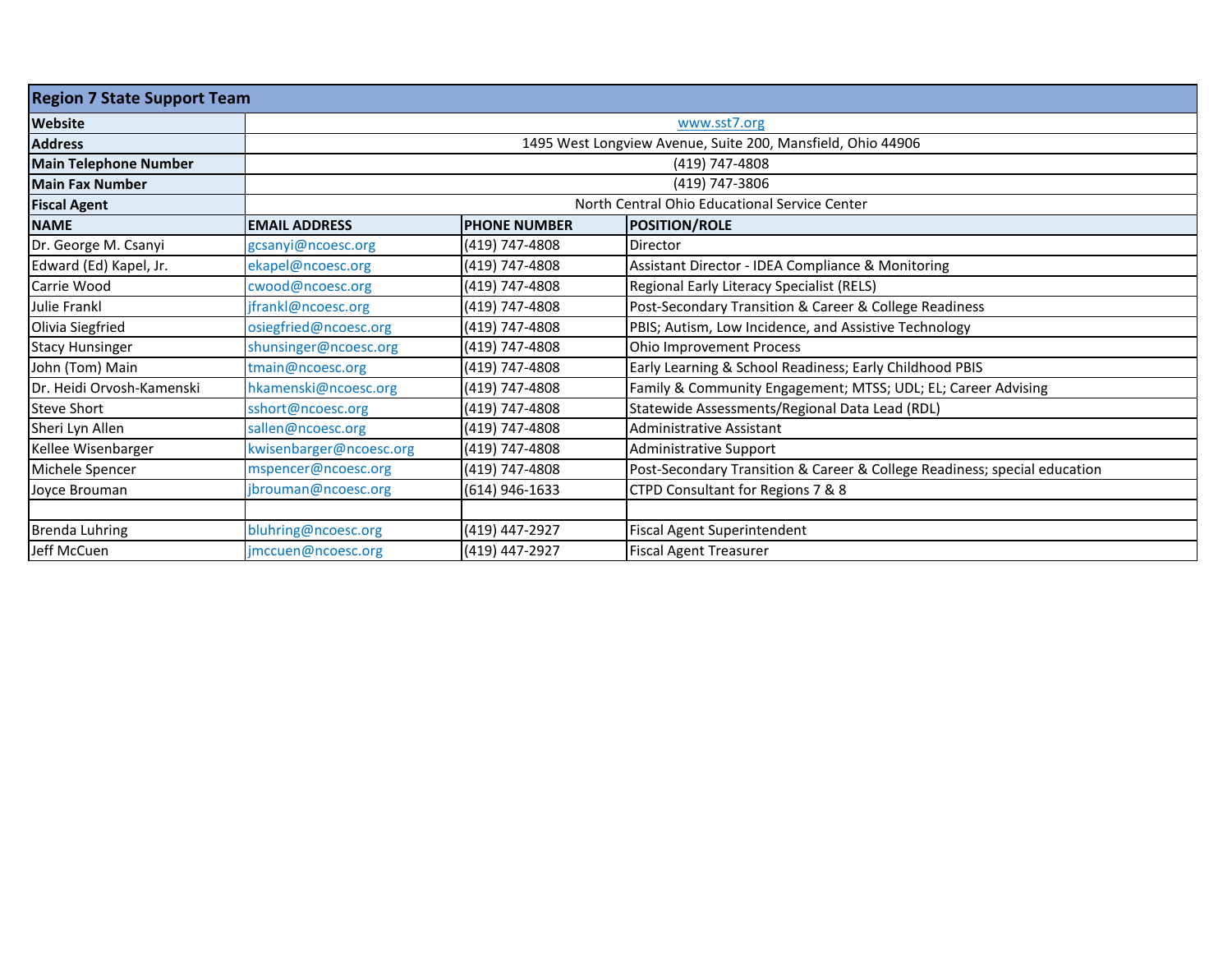| <b>Region 7 State Support Team</b> |                         |                     |                                                                           |
|------------------------------------|-------------------------|---------------------|---------------------------------------------------------------------------|
| <b>Website</b>                     |                         |                     | www.sst7.org                                                              |
| <b>Address</b>                     |                         |                     | 1495 West Longview Avenue, Suite 200, Mansfield, Ohio 44906               |
| <b>Main Telephone Number</b>       |                         |                     | (419) 747-4808                                                            |
| <b>Main Fax Number</b>             |                         |                     | (419) 747-3806                                                            |
| <b>Fiscal Agent</b>                |                         |                     | North Central Ohio Educational Service Center                             |
| <b>NAME</b>                        | <b>EMAIL ADDRESS</b>    | <b>PHONE NUMBER</b> | <b>POSITION/ROLE</b>                                                      |
| Dr. George M. Csanyi               | gcsanyi@ncoesc.org      | (419) 747-4808      | Director                                                                  |
| Edward (Ed) Kapel, Jr.             | ekapel@ncoesc.org       | (419) 747-4808      | Assistant Director - IDEA Compliance & Monitoring                         |
| Carrie Wood                        | cwood@ncoesc.org        | (419) 747-4808      | Regional Early Literacy Specialist (RELS)                                 |
| <b>Julie Frankl</b>                | jfrankl@ncoesc.org      | (419) 747-4808      | Post-Secondary Transition & Career & College Readiness                    |
| Olivia Siegfried                   | osiegfried@ncoesc.org   | (419) 747-4808      | PBIS; Autism, Low Incidence, and Assistive Technology                     |
| <b>Stacy Hunsinger</b>             | shunsinger@ncoesc.org   | (419) 747-4808      | Ohio Improvement Process                                                  |
| John (Tom) Main                    | tmain@ncoesc.org        | (419) 747-4808      | Early Learning & School Readiness; Early Childhood PBIS                   |
| Dr. Heidi Orvosh-Kamenski          | hkamenski@ncoesc.org    | (419) 747-4808      | Family & Community Engagement; MTSS; UDL; EL; Career Advising             |
| <b>Steve Short</b>                 | sshort@ncoesc.org       | (419) 747-4808      | Statewide Assessments/Regional Data Lead (RDL)                            |
| Sheri Lyn Allen                    | sallen@ncoesc.org       | (419) 747-4808      | <b>Administrative Assistant</b>                                           |
| Kellee Wisenbarger                 | kwisenbarger@ncoesc.org | (419) 747-4808      | Administrative Support                                                    |
| Michele Spencer                    | mspencer@ncoesc.org     | (419) 747-4808      | Post-Secondary Transition & Career & College Readiness; special education |
| Joyce Brouman                      | jbrouman@ncoesc.org     | (614) 946-1633      | CTPD Consultant for Regions 7 & 8                                         |
|                                    |                         |                     |                                                                           |
| <b>Brenda Luhring</b>              | bluhring@ncoesc.org     | (419) 447-2927      | Fiscal Agent Superintendent                                               |
| Jeff McCuen                        | jmccuen@ncoesc.org      | (419) 447-2927      | <b>Fiscal Agent Treasurer</b>                                             |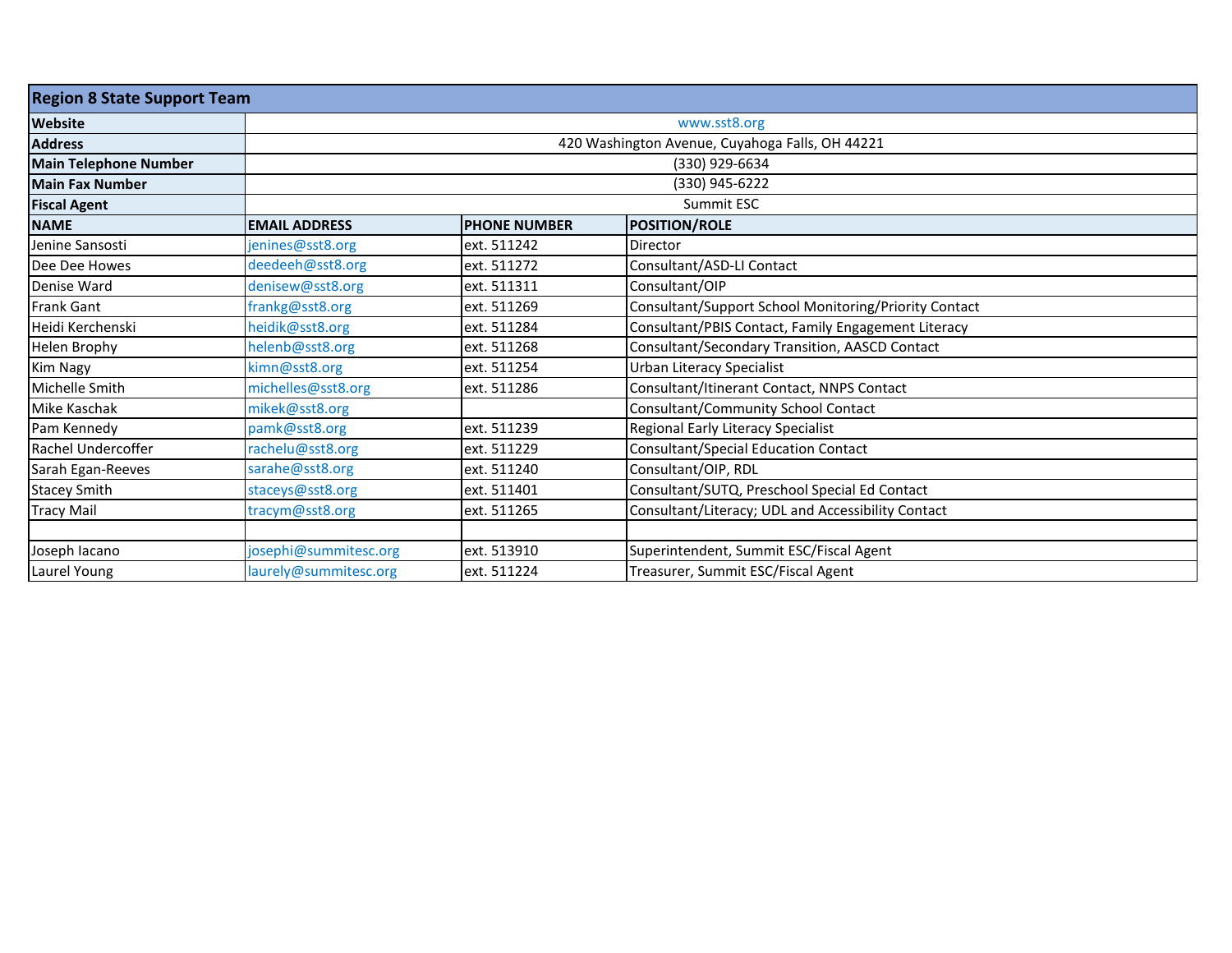| <b>Region 8 State Support Team</b> |                       |                     |                                                       |  |  |
|------------------------------------|-----------------------|---------------------|-------------------------------------------------------|--|--|
| <b>Website</b>                     |                       | www.sst8.org        |                                                       |  |  |
| <b>Address</b>                     |                       |                     | 420 Washington Avenue, Cuyahoga Falls, OH 44221       |  |  |
| <b>Main Telephone Number</b>       |                       |                     | (330) 929-6634                                        |  |  |
| <b>Main Fax Number</b>             |                       |                     | (330) 945-6222                                        |  |  |
| <b>Fiscal Agent</b>                |                       |                     | Summit ESC                                            |  |  |
| <b>NAME</b>                        | <b>EMAIL ADDRESS</b>  | <b>PHONE NUMBER</b> | <b>POSITION/ROLE</b>                                  |  |  |
| Jenine Sansosti                    | jenines@sst8.org      | ext. 511242         | Director                                              |  |  |
| Dee Dee Howes                      | deedeeh@sst8.org      | ext. 511272         | Consultant/ASD-LI Contact                             |  |  |
| Denise Ward                        | denisew@sst8.org      | ext. 511311         | Consultant/OIP                                        |  |  |
| Frank Gant                         | frankg@sst8.org       | ext. 511269         | Consultant/Support School Monitoring/Priority Contact |  |  |
| Heidi Kerchenski                   | heidik@sst8.org       | ext. 511284         | Consultant/PBIS Contact, Family Engagement Literacy   |  |  |
| Helen Brophy                       | helenb@sst8.org       | ext. 511268         | Consultant/Secondary Transition, AASCD Contact        |  |  |
| Kim Nagy                           | kimn@sst8.org         | ext. 511254         | Urban Literacy Specialist                             |  |  |
| Michelle Smith                     | michelles@sst8.org    | ext. 511286         | Consultant/Itinerant Contact, NNPS Contact            |  |  |
| Mike Kaschak                       | mikek@sst8.org        |                     | Consultant/Community School Contact                   |  |  |
| Pam Kennedy                        | pamk@sst8.org         | ext. 511239         | Regional Early Literacy Specialist                    |  |  |
| Rachel Undercoffer                 | rachelu@sst8.org      | ext. 511229         | Consultant/Special Education Contact                  |  |  |
| Sarah Egan-Reeves                  | sarahe@sst8.org       | ext. 511240         | Consultant/OIP, RDL                                   |  |  |
| <b>Stacey Smith</b>                | staceys@sst8.org      | ext. 511401         | Consultant/SUTQ, Preschool Special Ed Contact         |  |  |
| <b>Tracy Mail</b>                  | tracym@sst8.org       | ext. 511265         | Consultant/Literacy; UDL and Accessibility Contact    |  |  |
|                                    |                       |                     |                                                       |  |  |
| Joseph Iacano                      | josephi@summitesc.org | ext. 513910         | Superintendent, Summit ESC/Fiscal Agent               |  |  |
| Laurel Young                       | laurely@summitesc.org | ext. 511224         | Treasurer, Summit ESC/Fiscal Agent                    |  |  |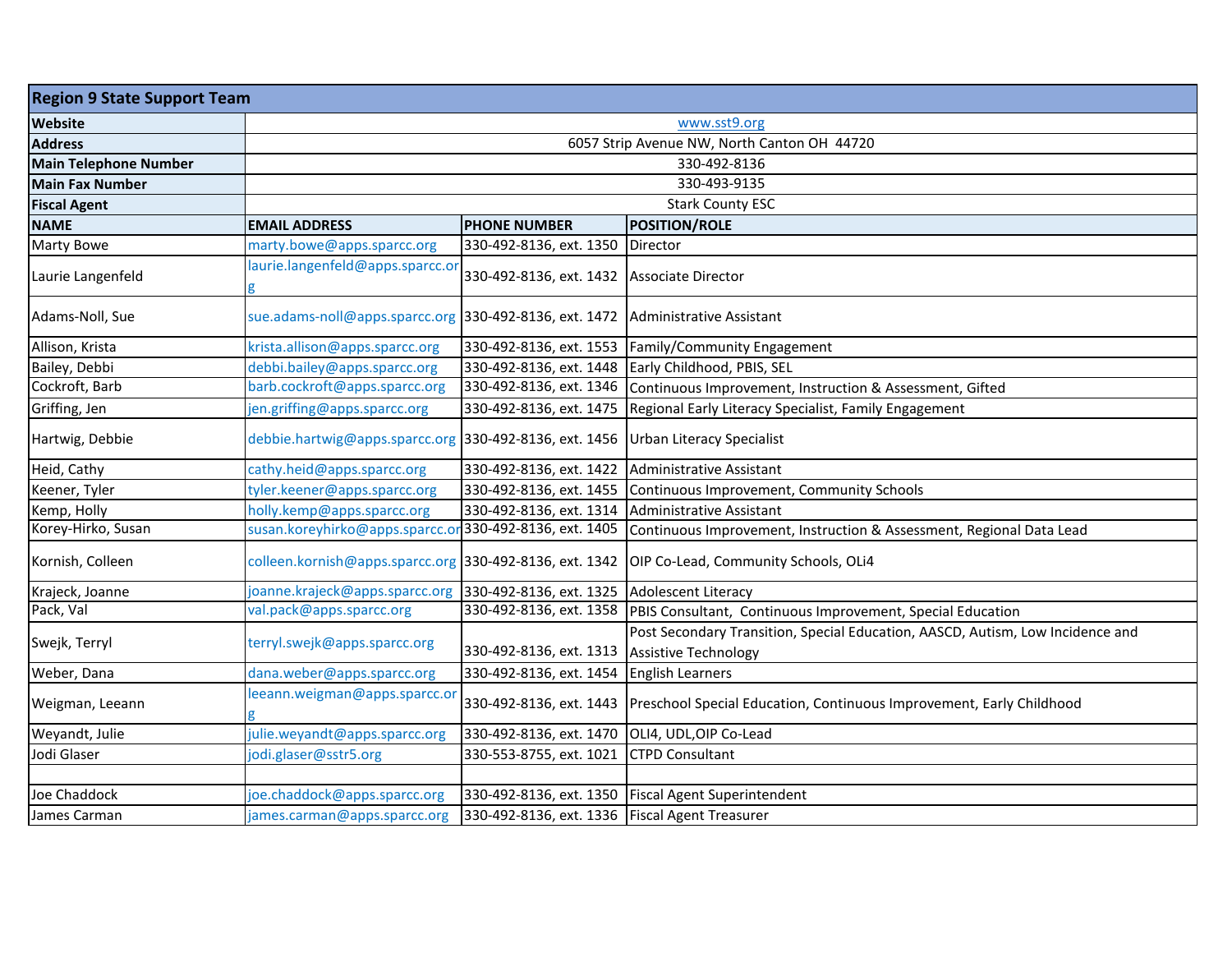| <b>Region 9 State Support Team</b> |                                                         |                                                  |                                                                                                               |  |  |
|------------------------------------|---------------------------------------------------------|--------------------------------------------------|---------------------------------------------------------------------------------------------------------------|--|--|
| Website                            |                                                         | www.sst9.org                                     |                                                                                                               |  |  |
| <b>Address</b>                     | 6057 Strip Avenue NW, North Canton OH 44720             |                                                  |                                                                                                               |  |  |
| <b>Main Telephone Number</b>       |                                                         |                                                  | 330-492-8136                                                                                                  |  |  |
| <b>Main Fax Number</b>             |                                                         |                                                  | 330-493-9135                                                                                                  |  |  |
| <b>Fiscal Agent</b>                |                                                         |                                                  | <b>Stark County ESC</b>                                                                                       |  |  |
| <b>NAME</b>                        | <b>EMAIL ADDRESS</b>                                    | <b>PHONE NUMBER</b>                              | <b>POSITION/ROLE</b>                                                                                          |  |  |
| <b>Marty Bowe</b>                  | marty.bowe@apps.sparcc.org                              | 330-492-8136, ext. 1350                          | <b>Director</b>                                                                                               |  |  |
| Laurie Langenfeld                  | laurie.langenfeld@apps.sparcc.o                         | 330-492-8136, ext. 1432                          | <b>Associate Director</b>                                                                                     |  |  |
| Adams-Noll, Sue                    | sue.adams-noll@apps.sparcc.org 330-492-8136, ext. 1472  |                                                  | Administrative Assistant                                                                                      |  |  |
| Allison, Krista                    | krista.allison@apps.sparcc.org                          | 330-492-8136, ext. 1553                          | Family/Community Engagement                                                                                   |  |  |
| Bailey, Debbi                      | debbi.bailey@apps.sparcc.org                            | 330-492-8136, ext. 1448                          | Early Childhood, PBIS, SEL                                                                                    |  |  |
| Cockroft, Barb                     | barb.cockroft@apps.sparcc.org                           | 330-492-8136, ext. 1346                          | Continuous Improvement, Instruction & Assessment, Gifted                                                      |  |  |
| Griffing, Jen                      | jen.griffing@apps.sparcc.org                            | 330-492-8136, ext. 1475                          | Regional Early Literacy Specialist, Family Engagement                                                         |  |  |
| Hartwig, Debbie                    | debbie.hartwig@apps.sparcc.org 330-492-8136, ext. 1456  |                                                  | <b>Urban Literacy Specialist</b>                                                                              |  |  |
| Heid, Cathy                        | cathy.heid@apps.sparcc.org                              | 330-492-8136, ext. 1422                          | Administrative Assistant                                                                                      |  |  |
| Keener, Tyler                      | tyler.keener@apps.sparcc.org                            | 330-492-8136, ext. 1455                          | Continuous Improvement, Community Schools                                                                     |  |  |
| Kemp, Holly                        | holly.kemp@apps.sparcc.org                              | 330-492-8136, ext. 1314                          | Administrative Assistant                                                                                      |  |  |
| Korey-Hirko, Susan                 | susan.koreyhirko@apps.sparcc.o                          | 330-492-8136, ext. 1405                          | Continuous Improvement, Instruction & Assessment, Regional Data Lead                                          |  |  |
| Kornish, Colleen                   | colleen.kornish@apps.sparcc.org 330-492-8136, ext. 1342 |                                                  | OIP Co-Lead, Community Schools, OLi4                                                                          |  |  |
| Krajeck, Joanne                    | joanne.krajeck@apps.sparcc.org                          | 330-492-8136, ext. 1325                          | <b>Adolescent Literacy</b>                                                                                    |  |  |
| Pack, Val                          | val.pack@apps.sparcc.org                                | 330-492-8136, ext. 1358                          | PBIS Consultant, Continuous Improvement, Special Education                                                    |  |  |
| Swejk, Terryl                      | terryl.swejk@apps.sparcc.org                            | 330-492-8136, ext. 1313                          | Post Secondary Transition, Special Education, AASCD, Autism, Low Incidence and<br><b>Assistive Technology</b> |  |  |
| Weber, Dana                        | dana.weber@apps.sparcc.org                              | 330-492-8136, ext. 1454                          | <b>English Learners</b>                                                                                       |  |  |
| Weigman, Leeann                    | leeann.weigman@apps.sparcc.or                           | 330-492-8136, ext. 1443                          | Preschool Special Education, Continuous Improvement, Early Childhood                                          |  |  |
| Weyandt, Julie                     | julie.weyandt@apps.sparcc.org                           | 330-492-8136, ext. 1470                          | OLI4, UDL, OIP Co-Lead                                                                                        |  |  |
| Jodi Glaser                        | jodi.glaser@sstr5.org                                   | 330-553-8755, ext. 1021                          | <b>CTPD Consultant</b>                                                                                        |  |  |
|                                    |                                                         |                                                  |                                                                                                               |  |  |
| Joe Chaddock                       | joe.chaddock@apps.sparcc.org                            |                                                  | 330-492-8136, ext. 1350   Fiscal Agent Superintendent                                                         |  |  |
| James Carman                       | james.carman@apps.sparcc.org                            | 330-492-8136, ext. 1336   Fiscal Agent Treasurer |                                                                                                               |  |  |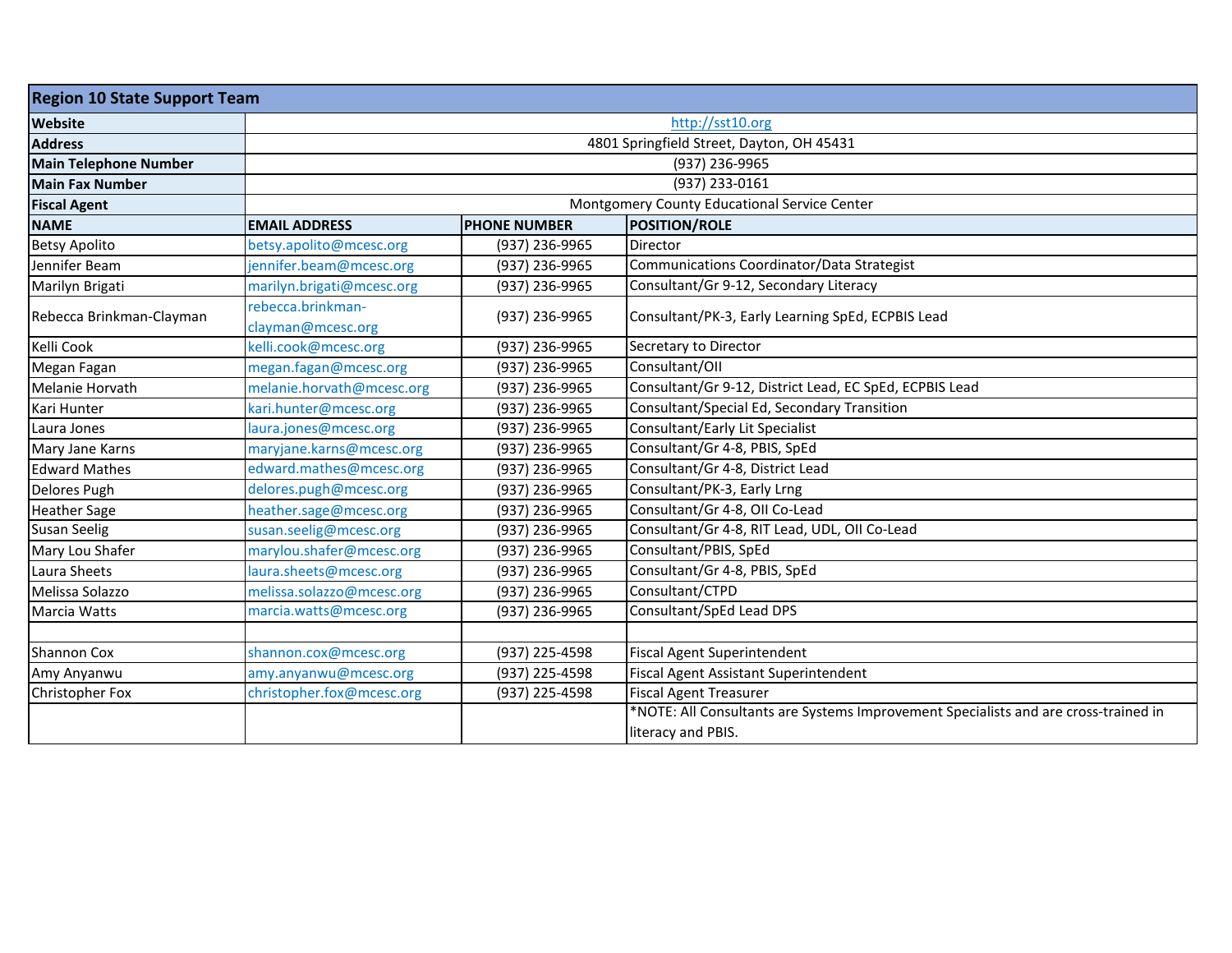| <b>Region 10 State Support Team</b> |                                        |                                           |                                                                                     |  |  |
|-------------------------------------|----------------------------------------|-------------------------------------------|-------------------------------------------------------------------------------------|--|--|
| <b>Website</b>                      |                                        | http://sst10.org                          |                                                                                     |  |  |
| <b>Address</b>                      |                                        | 4801 Springfield Street, Dayton, OH 45431 |                                                                                     |  |  |
| <b>Main Telephone Number</b>        |                                        |                                           | (937) 236-9965                                                                      |  |  |
| <b>Main Fax Number</b>              |                                        |                                           | (937) 233-0161                                                                      |  |  |
| <b>Fiscal Agent</b>                 |                                        |                                           | Montgomery County Educational Service Center                                        |  |  |
| <b>NAME</b>                         | <b>EMAIL ADDRESS</b>                   | <b>PHONE NUMBER</b>                       | <b>POSITION/ROLE</b>                                                                |  |  |
| <b>Betsy Apolito</b>                | betsy.apolito@mcesc.org                | (937) 236-9965                            | Director                                                                            |  |  |
| Jennifer Beam                       | jennifer.beam@mcesc.org                | (937) 236-9965                            | Communications Coordinator/Data Strategist                                          |  |  |
| Marilyn Brigati                     | marilyn.brigati@mcesc.org              | (937) 236-9965                            | Consultant/Gr 9-12, Secondary Literacy                                              |  |  |
| Rebecca Brinkman-Clayman            | rebecca.brinkman-<br>clayman@mcesc.org | (937) 236-9965                            | Consultant/PK-3, Early Learning SpEd, ECPBIS Lead                                   |  |  |
| Kelli Cook                          | kelli.cook@mcesc.org                   | (937) 236-9965                            | Secretary to Director                                                               |  |  |
| Megan Fagan                         | megan.fagan@mcesc.org                  | (937) 236-9965                            | Consultant/OII                                                                      |  |  |
| Melanie Horvath                     | melanie.horvath@mcesc.org              | (937) 236-9965                            | Consultant/Gr 9-12, District Lead, EC SpEd, ECPBIS Lead                             |  |  |
| Kari Hunter                         | kari.hunter@mcesc.org                  | (937) 236-9965                            | Consultant/Special Ed, Secondary Transition                                         |  |  |
| Laura Jones                         | laura.jones@mcesc.org                  | (937) 236-9965                            | Consultant/Early Lit Specialist                                                     |  |  |
| Mary Jane Karns                     | maryjane.karns@mcesc.org               | (937) 236-9965                            | Consultant/Gr 4-8, PBIS, SpEd                                                       |  |  |
| <b>Edward Mathes</b>                | edward.mathes@mcesc.org                | (937) 236-9965                            | Consultant/Gr 4-8, District Lead                                                    |  |  |
| Delores Pugh                        | delores.pugh@mcesc.org                 | (937) 236-9965                            | Consultant/PK-3, Early Lrng                                                         |  |  |
| <b>Heather Sage</b>                 | heather.sage@mcesc.org                 | (937) 236-9965                            | Consultant/Gr 4-8, OII Co-Lead                                                      |  |  |
| <b>Susan Seelig</b>                 | susan.seelig@mcesc.org                 | (937) 236-9965                            | Consultant/Gr 4-8, RIT Lead, UDL, OII Co-Lead                                       |  |  |
| Mary Lou Shafer                     | marylou.shafer@mcesc.org               | (937) 236-9965                            | Consultant/PBIS, SpEd                                                               |  |  |
| Laura Sheets                        | laura.sheets@mcesc.org                 | (937) 236-9965                            | Consultant/Gr 4-8, PBIS, SpEd                                                       |  |  |
| Melissa Solazzo                     | melissa.solazzo@mcesc.org              | (937) 236-9965                            | Consultant/CTPD                                                                     |  |  |
| Marcia Watts                        | marcia.watts@mcesc.org                 | (937) 236-9965                            | Consultant/SpEd Lead DPS                                                            |  |  |
|                                     |                                        |                                           |                                                                                     |  |  |
| Shannon Cox                         | shannon.cox@mcesc.org                  | (937) 225-4598                            | <b>Fiscal Agent Superintendent</b>                                                  |  |  |
| Amy Anyanwu                         | amy.anyanwu@mcesc.org                  | (937) 225-4598                            | <b>Fiscal Agent Assistant Superintendent</b>                                        |  |  |
| Christopher Fox                     | christopher.fox@mcesc.org              | (937) 225-4598                            | <b>Fiscal Agent Treasurer</b>                                                       |  |  |
|                                     |                                        |                                           | *NOTE: All Consultants are Systems Improvement Specialists and are cross-trained in |  |  |
|                                     |                                        |                                           | literacy and PBIS.                                                                  |  |  |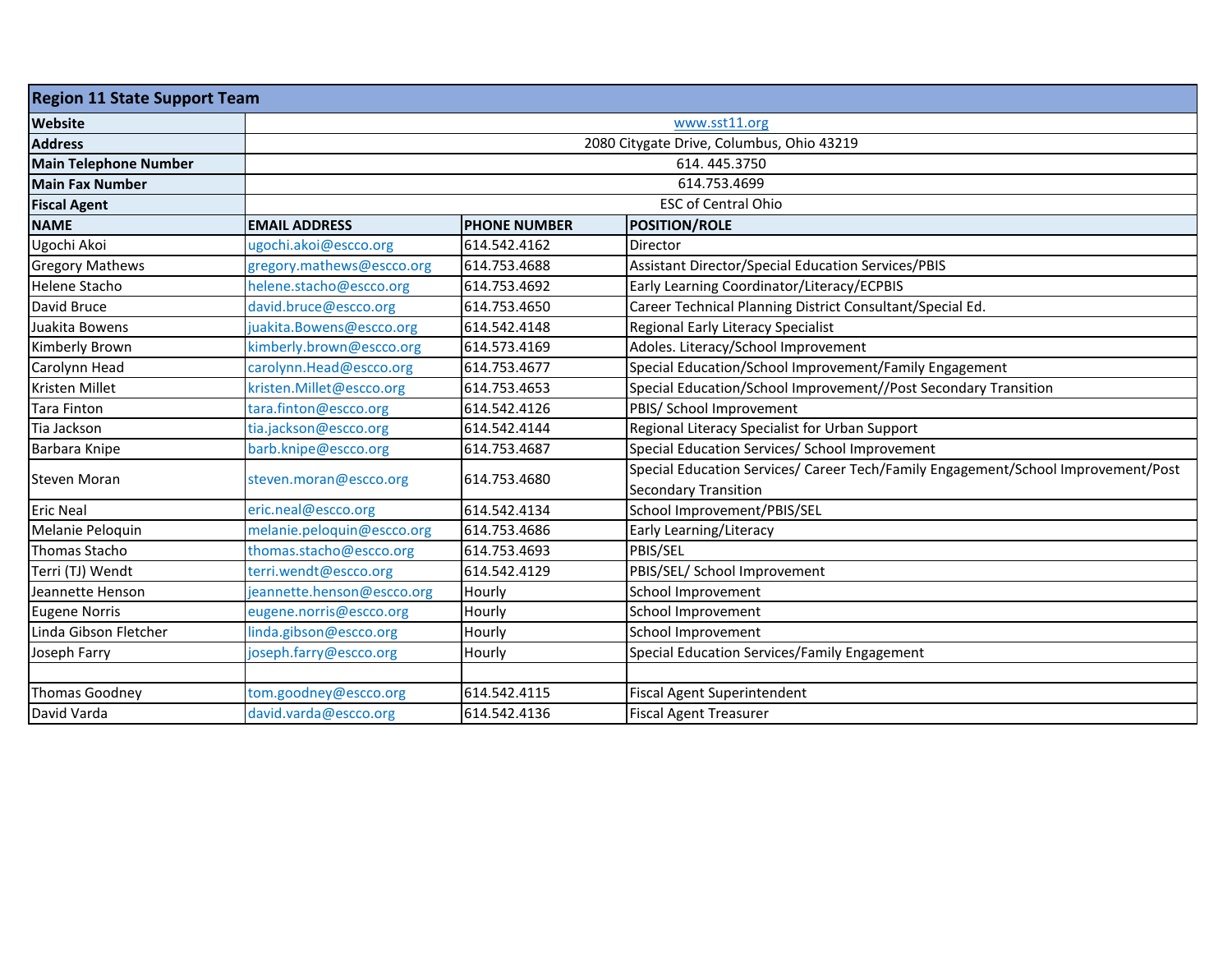| <b>Region 11 State Support Team</b> |                            |                     |                                                                                                                  |
|-------------------------------------|----------------------------|---------------------|------------------------------------------------------------------------------------------------------------------|
| <b>Website</b>                      | www.sst11.org              |                     |                                                                                                                  |
| <b>Address</b>                      |                            |                     | 2080 Citygate Drive, Columbus, Ohio 43219                                                                        |
| <b>Main Telephone Number</b>        |                            |                     | 614.445.3750                                                                                                     |
| <b>Main Fax Number</b>              |                            |                     | 614.753.4699                                                                                                     |
| <b>Fiscal Agent</b>                 |                            |                     | <b>ESC of Central Ohio</b>                                                                                       |
| <b>NAME</b>                         | <b>EMAIL ADDRESS</b>       | <b>PHONE NUMBER</b> | <b>POSITION/ROLE</b>                                                                                             |
| Ugochi Akoi                         | ugochi.akoi@escco.org      | 614.542.4162        | Director                                                                                                         |
| <b>Gregory Mathews</b>              | gregory.mathews@escco.org  | 614.753.4688        | Assistant Director/Special Education Services/PBIS                                                               |
| <b>Helene Stacho</b>                | helene.stacho@escco.org    | 614.753.4692        | Early Learning Coordinator/Literacy/ECPBIS                                                                       |
| David Bruce                         | david.bruce@escco.org      | 614.753.4650        | Career Technical Planning District Consultant/Special Ed.                                                        |
| Juakita Bowens                      | juakita.Bowens@escco.org   | 614.542.4148        | Regional Early Literacy Specialist                                                                               |
| Kimberly Brown                      | kimberly.brown@escco.org   | 614.573.4169        | Adoles. Literacy/School Improvement                                                                              |
| Carolynn Head                       | carolynn.Head@escco.org    | 614.753.4677        | Special Education/School Improvement/Family Engagement                                                           |
| <b>Kristen Millet</b>               | kristen.Millet@escco.org   | 614.753.4653        | Special Education/School Improvement//Post Secondary Transition                                                  |
| <b>Tara Finton</b>                  | tara.finton@escco.org      | 614.542.4126        | PBIS/ School Improvement                                                                                         |
| Tia Jackson                         | tia.jackson@escco.org      | 614.542.4144        | Regional Literacy Specialist for Urban Support                                                                   |
| Barbara Knipe                       | barb.knipe@escco.org       | 614.753.4687        | Special Education Services/ School Improvement                                                                   |
| Steven Moran                        | steven.moran@escco.org     | 614.753.4680        | Special Education Services/ Career Tech/Family Engagement/School Improvement/Post<br><b>Secondary Transition</b> |
| <b>Eric Neal</b>                    | eric.neal@escco.org        | 614.542.4134        | School Improvement/PBIS/SEL                                                                                      |
| Melanie Peloquin                    | melanie.peloquin@escco.org | 614.753.4686        | Early Learning/Literacy                                                                                          |
| Thomas Stacho                       | thomas.stacho@escco.org    | 614.753.4693        | PBIS/SEL                                                                                                         |
| Terri (TJ) Wendt                    | terri.wendt@escco.org      | 614.542.4129        | PBIS/SEL/ School Improvement                                                                                     |
| Jeannette Henson                    | jeannette.henson@escco.org | Hourly              | School Improvement                                                                                               |
| <b>Eugene Norris</b>                | eugene.norris@escco.org    | Hourly              | School Improvement                                                                                               |
| Linda Gibson Fletcher               | linda.gibson@escco.org     | Hourly              | School Improvement                                                                                               |
| Joseph Farry                        | joseph.farry@escco.org     | Hourly              | Special Education Services/Family Engagement                                                                     |
|                                     |                            |                     |                                                                                                                  |
| Thomas Goodney                      | tom.goodney@escco.org      | 614.542.4115        | <b>Fiscal Agent Superintendent</b>                                                                               |
| David Varda                         | david.varda@escco.org      | 614.542.4136        | <b>Fiscal Agent Treasurer</b>                                                                                    |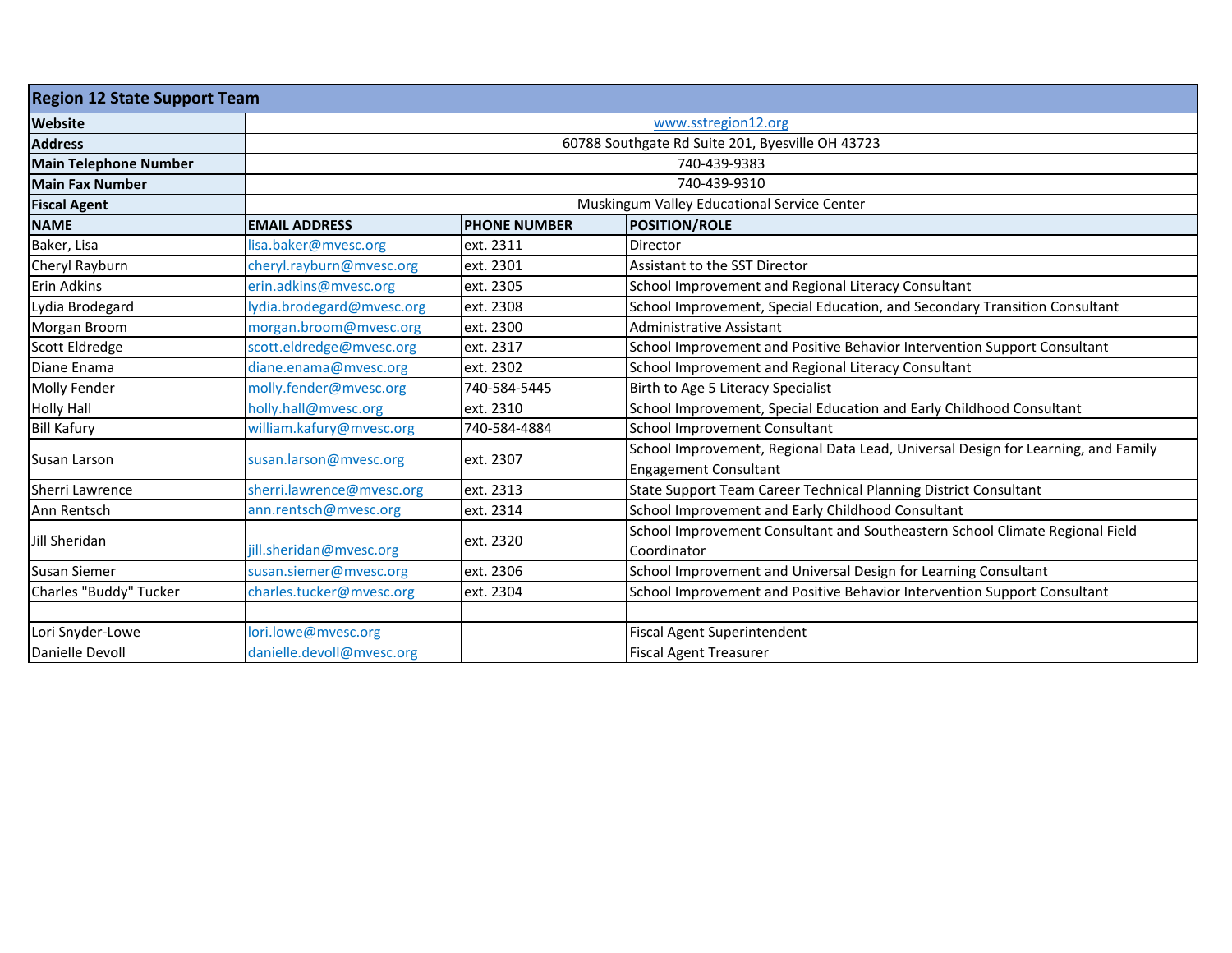| <b>Region 12 State Support Team</b> |                           |                     |                                                                                             |  |  |
|-------------------------------------|---------------------------|---------------------|---------------------------------------------------------------------------------------------|--|--|
| <b>Website</b>                      |                           | www.sstregion12.org |                                                                                             |  |  |
| <b>Address</b>                      |                           |                     | 60788 Southgate Rd Suite 201, Byesville OH 43723                                            |  |  |
| <b>Main Telephone Number</b>        |                           |                     | 740-439-9383                                                                                |  |  |
| <b>Main Fax Number</b>              |                           |                     | 740-439-9310                                                                                |  |  |
| <b>Fiscal Agent</b>                 |                           |                     | Muskingum Valley Educational Service Center                                                 |  |  |
| <b>NAME</b>                         | <b>EMAIL ADDRESS</b>      | <b>PHONE NUMBER</b> | <b>POSITION/ROLE</b>                                                                        |  |  |
| Baker, Lisa                         | lisa.baker@mvesc.org      | ext. 2311           | Director                                                                                    |  |  |
| Cheryl Rayburn                      | cheryl.rayburn@mvesc.org  | ext. 2301           | Assistant to the SST Director                                                               |  |  |
| Erin Adkins                         | erin.adkins@mvesc.org     | ext. 2305           | School Improvement and Regional Literacy Consultant                                         |  |  |
| Lydia Brodegard                     | lydia.brodegard@mvesc.org | ext. 2308           | School Improvement, Special Education, and Secondary Transition Consultant                  |  |  |
| Morgan Broom                        | morgan.broom@mvesc.org    | ext. 2300           | Administrative Assistant                                                                    |  |  |
| Scott Eldredge                      | scott.eldredge@mvesc.org  | ext. 2317           | School Improvement and Positive Behavior Intervention Support Consultant                    |  |  |
| Diane Enama                         | diane.enama@mvesc.org     | ext. 2302           | School Improvement and Regional Literacy Consultant                                         |  |  |
| <b>Molly Fender</b>                 | molly.fender@mvesc.org    | 740-584-5445        | Birth to Age 5 Literacy Specialist                                                          |  |  |
| <b>Holly Hall</b>                   | holly.hall@mvesc.org      | ext. 2310           | School Improvement, Special Education and Early Childhood Consultant                        |  |  |
| <b>Bill Kafury</b>                  | william.kafury@mvesc.org  | 740-584-4884        | School Improvement Consultant                                                               |  |  |
| Susan Larson                        | susan.larson@mvesc.org    | ext. 2307           | School Improvement, Regional Data Lead, Universal Design for Learning, and Family           |  |  |
|                                     |                           |                     | <b>Engagement Consultant</b>                                                                |  |  |
| Sherri Lawrence                     | sherri.lawrence@mvesc.org | ext. 2313           | State Support Team Career Technical Planning District Consultant                            |  |  |
| Ann Rentsch                         | ann.rentsch@mvesc.org     | ext. 2314           | School Improvement and Early Childhood Consultant                                           |  |  |
| Jill Sheridan                       | jill.sheridan@mvesc.org   | ext. 2320           | School Improvement Consultant and Southeastern School Climate Regional Field<br>Coordinator |  |  |
| Susan Siemer                        | susan.siemer@mvesc.org    | ext. 2306           | School Improvement and Universal Design for Learning Consultant                             |  |  |
| Charles "Buddy" Tucker              | charles.tucker@mvesc.org  | ext. 2304           | School Improvement and Positive Behavior Intervention Support Consultant                    |  |  |
|                                     |                           |                     |                                                                                             |  |  |
| Lori Snyder-Lowe                    | lori.lowe@mvesc.org       |                     | <b>Fiscal Agent Superintendent</b>                                                          |  |  |
| Danielle Devoll                     | danielle.devoll@mvesc.org |                     | <b>Fiscal Agent Treasurer</b>                                                               |  |  |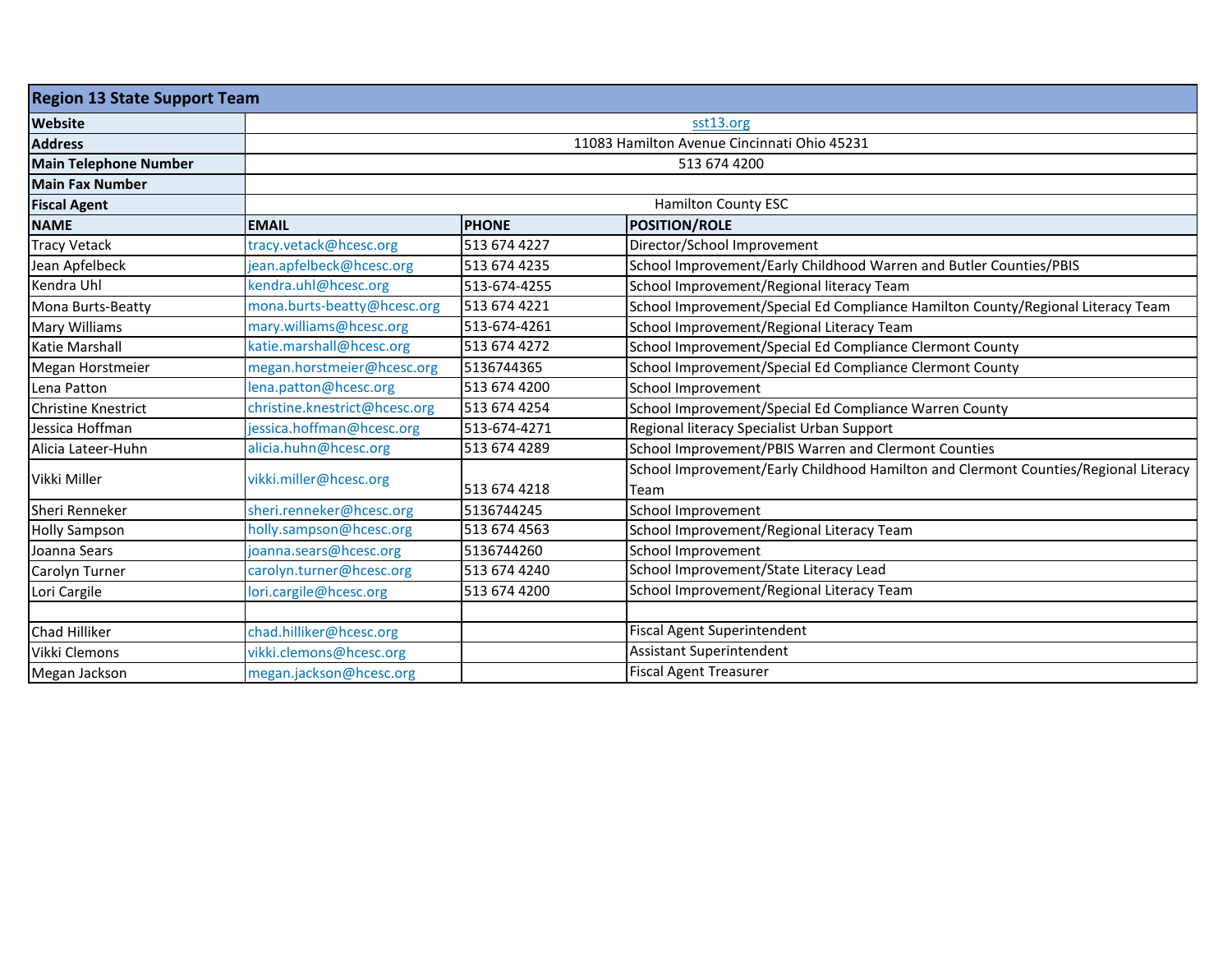| <b>Region 13 State Support Team</b> |                               |                                             |                                                                                     |  |  |  |  |
|-------------------------------------|-------------------------------|---------------------------------------------|-------------------------------------------------------------------------------------|--|--|--|--|
| <b>Website</b>                      |                               | sst13.org                                   |                                                                                     |  |  |  |  |
| <b>Address</b>                      |                               | 11083 Hamilton Avenue Cincinnati Ohio 45231 |                                                                                     |  |  |  |  |
| <b>Main Telephone Number</b>        |                               | 513 674 4200                                |                                                                                     |  |  |  |  |
| <b>Main Fax Number</b>              |                               |                                             |                                                                                     |  |  |  |  |
| <b>Fiscal Agent</b>                 | <b>Hamilton County ESC</b>    |                                             |                                                                                     |  |  |  |  |
| <b>NAME</b>                         | <b>EMAIL</b>                  | <b>PHONE</b>                                | <b>POSITION/ROLE</b>                                                                |  |  |  |  |
| <b>Tracy Vetack</b>                 | tracy.vetack@hcesc.org        | 513 674 4227                                | Director/School Improvement                                                         |  |  |  |  |
| Jean Apfelbeck                      | jean.apfelbeck@hcesc.org      | 513 674 4235                                | School Improvement/Early Childhood Warren and Butler Counties/PBIS                  |  |  |  |  |
| Kendra Uhl                          | kendra.uhl@hcesc.org          | 513-674-4255                                | School Improvement/Regional literacy Team                                           |  |  |  |  |
| Mona Burts-Beatty                   | mona.burts-beatty@hcesc.org   | 513 674 4221                                | School Improvement/Special Ed Compliance Hamilton County/Regional Literacy Team     |  |  |  |  |
| <b>Mary Williams</b>                | mary.williams@hcesc.org       | 513-674-4261                                | School Improvement/Regional Literacy Team                                           |  |  |  |  |
| <b>Katie Marshall</b>               | katie.marshall@hcesc.org      | 513 674 4272                                | School Improvement/Special Ed Compliance Clermont County                            |  |  |  |  |
| Megan Horstmeier                    | megan.horstmeier@hcesc.org    | 5136744365                                  | School Improvement/Special Ed Compliance Clermont County                            |  |  |  |  |
| Lena Patton                         | lena.patton@hcesc.org         | 513 674 4200                                | School Improvement                                                                  |  |  |  |  |
| <b>Christine Knestrict</b>          | christine.knestrict@hcesc.org | 513 674 4254                                | School Improvement/Special Ed Compliance Warren County                              |  |  |  |  |
| Jessica Hoffman                     | jessica.hoffman@hcesc.org     | 513-674-4271                                | Regional literacy Specialist Urban Support                                          |  |  |  |  |
| Alicia Lateer-Huhn                  | alicia.huhn@hcesc.org         | 513 674 4289                                | School Improvement/PBIS Warren and Clermont Counties                                |  |  |  |  |
| Vikki Miller                        | vikki.miller@hcesc.org        |                                             | School Improvement/Early Childhood Hamilton and Clermont Counties/Regional Literacy |  |  |  |  |
|                                     |                               | 513 674 4218                                | Team                                                                                |  |  |  |  |
| Sheri Renneker                      | sheri.renneker@hcesc.org      | 5136744245                                  | School Improvement                                                                  |  |  |  |  |
| <b>Holly Sampson</b>                | holly.sampson@hcesc.org       | 513 674 4563                                | School Improvement/Regional Literacy Team                                           |  |  |  |  |
| Joanna Sears                        | joanna.sears@hcesc.org        | 5136744260                                  | School Improvement                                                                  |  |  |  |  |
| Carolyn Turner                      | carolyn.turner@hcesc.org      | 513 674 4240                                | School Improvement/State Literacy Lead                                              |  |  |  |  |
| Lori Cargile                        | lori.cargile@hcesc.org        | 513 674 4200                                | School Improvement/Regional Literacy Team                                           |  |  |  |  |
|                                     |                               |                                             |                                                                                     |  |  |  |  |
| Chad Hilliker                       | chad.hilliker@hcesc.org       |                                             | Fiscal Agent Superintendent                                                         |  |  |  |  |
| Vikki Clemons                       | vikki.clemons@hcesc.org       |                                             | Assistant Superintendent                                                            |  |  |  |  |
| Megan Jackson                       | megan.jackson@hcesc.org       |                                             | <b>Fiscal Agent Treasurer</b>                                                       |  |  |  |  |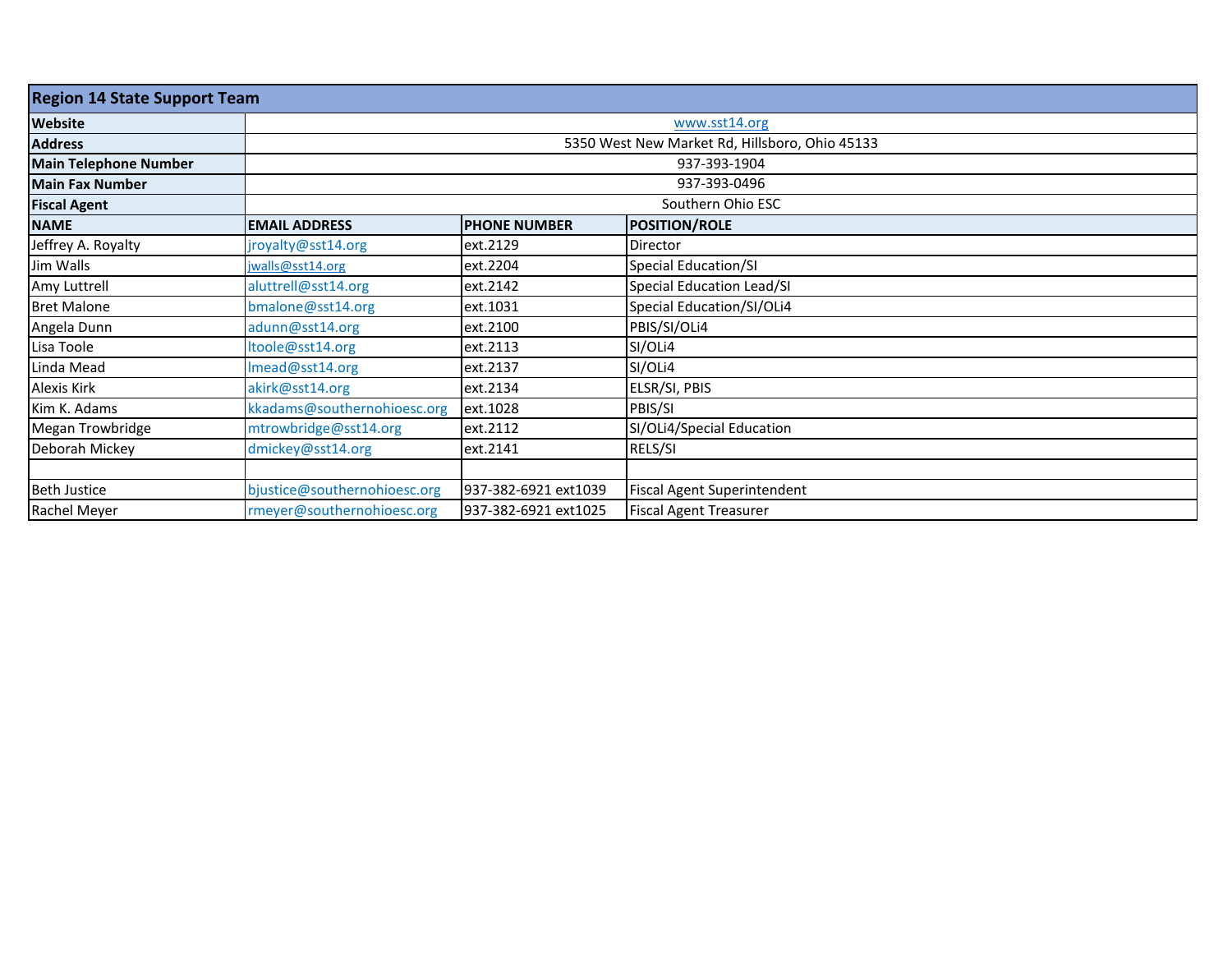| <b>Region 14 State Support Team</b> |                                                |                      |                                    |  |  |
|-------------------------------------|------------------------------------------------|----------------------|------------------------------------|--|--|
| <b>Website</b>                      | www.sst14.org                                  |                      |                                    |  |  |
| <b>Address</b>                      | 5350 West New Market Rd, Hillsboro, Ohio 45133 |                      |                                    |  |  |
| <b>Main Telephone Number</b>        | 937-393-1904                                   |                      |                                    |  |  |
| <b>Main Fax Number</b>              | 937-393-0496                                   |                      |                                    |  |  |
| <b>Fiscal Agent</b>                 | Southern Ohio ESC                              |                      |                                    |  |  |
| <b>NAME</b>                         | <b>EMAIL ADDRESS</b>                           | <b>PHONE NUMBER</b>  | <b>POSITION/ROLE</b>               |  |  |
| Jeffrey A. Royalty                  | jroyalty@sst14.org                             | ext.2129             | Director                           |  |  |
| Jim Walls                           | jwalls@sst14.org                               | ext.2204             | <b>Special Education/SI</b>        |  |  |
| Amy Luttrell                        | aluttrell@sst14.org                            | ext.2142             | Special Education Lead/SI          |  |  |
| <b>Bret Malone</b>                  | bmalone@sst14.org                              | ext.1031             | Special Education/SI/OLi4          |  |  |
| Angela Dunn                         | adunn@sst14.org                                | ext.2100             | PBIS/SI/OLi4                       |  |  |
| Lisa Toole                          | Itoole@sst14.org                               | ext.2113             | SI/OLi4                            |  |  |
| Linda Mead                          | Imead@sst14.org                                | ext.2137             | SI/OLi4                            |  |  |
| Alexis Kirk                         | akirk@sst14.org                                | ext.2134             | ELSR/SI, PBIS                      |  |  |
| Kim K. Adams                        | kkadams@southernohioesc.org                    | ext.1028             | PBIS/SI                            |  |  |
| Megan Trowbridge                    | mtrowbridge@sst14.org                          | ext.2112             | SI/OLi4/Special Education          |  |  |
| Deborah Mickey                      | dmickey@sst14.org                              | ext.2141             | RELS/SI                            |  |  |
|                                     |                                                |                      |                                    |  |  |
| <b>Beth Justice</b>                 | bjustice@southernohioesc.org                   | 937-382-6921 ext1039 | <b>Fiscal Agent Superintendent</b> |  |  |
| Rachel Meyer                        | rmeyer@southernohioesc.org                     | 937-382-6921 ext1025 | <b>Fiscal Agent Treasurer</b>      |  |  |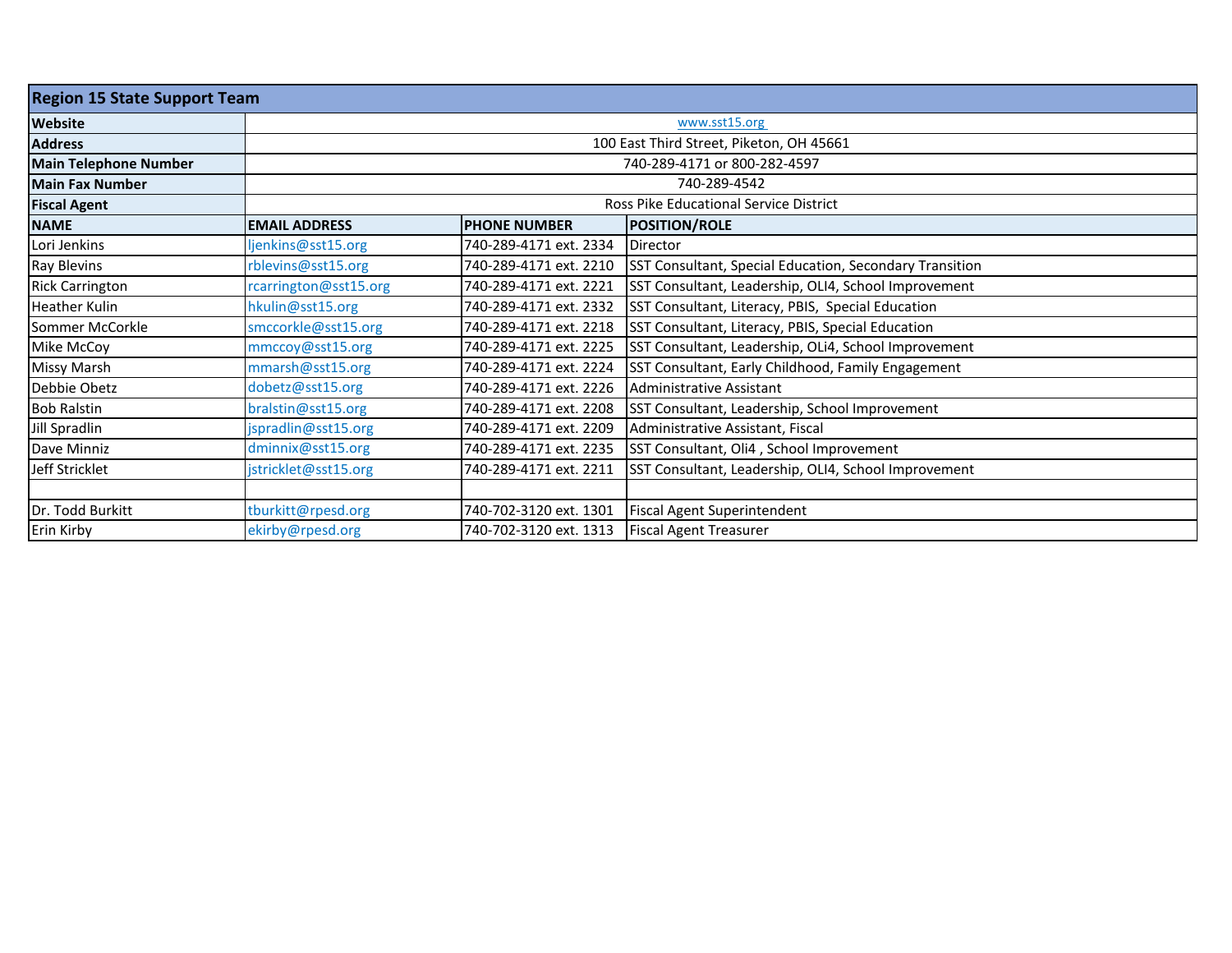| <b>Region 15 State Support Team</b> |                                        |                                          |                                                         |  |  |  |  |
|-------------------------------------|----------------------------------------|------------------------------------------|---------------------------------------------------------|--|--|--|--|
| Website                             | www.sst15.org                          |                                          |                                                         |  |  |  |  |
| <b>Address</b>                      |                                        | 100 East Third Street, Piketon, OH 45661 |                                                         |  |  |  |  |
| <b>Main Telephone Number</b>        | 740-289-4171 or 800-282-4597           |                                          |                                                         |  |  |  |  |
| <b>Main Fax Number</b>              | 740-289-4542                           |                                          |                                                         |  |  |  |  |
| <b>Fiscal Agent</b>                 | Ross Pike Educational Service District |                                          |                                                         |  |  |  |  |
| <b>NAME</b>                         | <b>EMAIL ADDRESS</b>                   | <b>PHONE NUMBER</b>                      | <b>POSITION/ROLE</b>                                    |  |  |  |  |
| Lori Jenkins                        | ljenkins@sst15.org                     | 740-289-4171 ext. 2334                   | Director                                                |  |  |  |  |
| Ray Blevins                         | rblevins@sst15.org                     | 740-289-4171 ext. 2210                   | SST Consultant, Special Education, Secondary Transition |  |  |  |  |
| <b>Rick Carrington</b>              | rcarrington@sst15.org                  | 740-289-4171 ext. 2221                   | SST Consultant, Leadership, OLI4, School Improvement    |  |  |  |  |
| <b>Heather Kulin</b>                | hkulin@sst15.org                       | 740-289-4171 ext. 2332                   | SST Consultant, Literacy, PBIS, Special Education       |  |  |  |  |
| Sommer McCorkle                     | smccorkle@sst15.org                    | 740-289-4171 ext. 2218                   | SST Consultant, Literacy, PBIS, Special Education       |  |  |  |  |
| Mike McCoy                          | mmccoy@sst15.org                       | 740-289-4171 ext. 2225                   | SST Consultant, Leadership, OLi4, School Improvement    |  |  |  |  |
| Missy Marsh                         | mmarsh@sst15.org                       | 740-289-4171 ext. 2224                   | SST Consultant, Early Childhood, Family Engagement      |  |  |  |  |
| Debbie Obetz                        | dobetz@sst15.org                       | 740-289-4171 ext. 2226                   | Administrative Assistant                                |  |  |  |  |
| <b>Bob Ralstin</b>                  | bralstin@sst15.org                     | 740-289-4171 ext. 2208                   | SST Consultant, Leadership, School Improvement          |  |  |  |  |
| Jill Spradlin                       | jspradlin@sst15.org                    | 740-289-4171 ext. 2209                   | Administrative Assistant, Fiscal                        |  |  |  |  |
| Dave Minniz                         | dminnix@sst15.org                      | 740-289-4171 ext. 2235                   | SST Consultant, Oli4, School Improvement                |  |  |  |  |
| Jeff Stricklet                      | jstricklet@sst15.org                   | 740-289-4171 ext. 2211                   | SST Consultant, Leadership, OLI4, School Improvement    |  |  |  |  |
|                                     |                                        |                                          |                                                         |  |  |  |  |
| Dr. Todd Burkitt                    | tburkitt@rpesd.org                     | 740-702-3120 ext. 1301                   | <b>Fiscal Agent Superintendent</b>                      |  |  |  |  |
| Erin Kirby                          | ekirby@rpesd.org                       | 740-702-3120 ext. 1313                   | <b>Fiscal Agent Treasurer</b>                           |  |  |  |  |